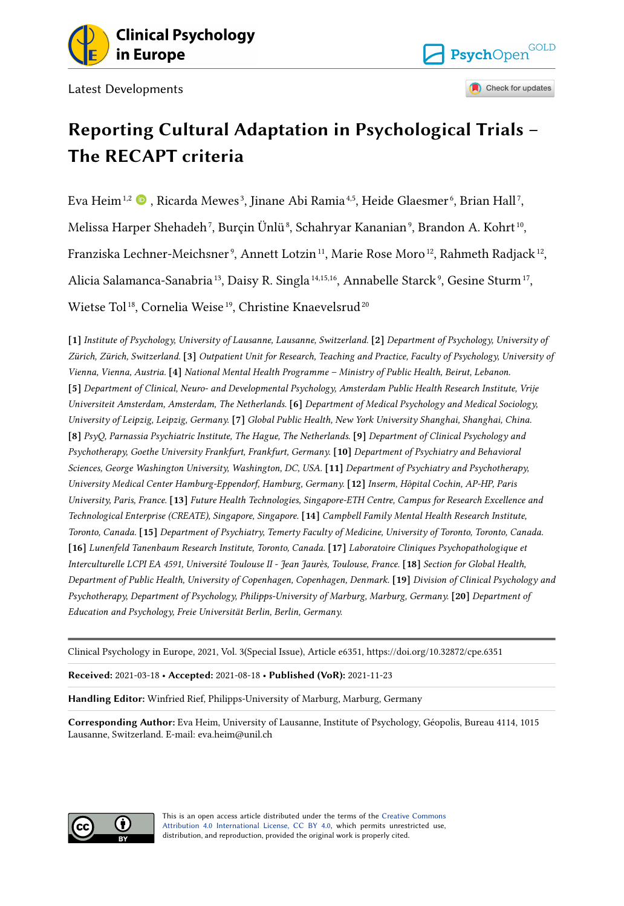

Latest Developments

## **Reporting Cultural Adaptation in Psychological Trials – The RECAPT criteria**

PsychOpen<sup>GOLD</sup>

Check for updates

Eva Heim $^{1,2}$  $^{1,2}$  $^{1,2}$   $\bullet$  , Ricarda Mewes<sup>3</sup>, Jinane Abi Ramia<sup>4,5</sup>, Heide Glaesmer<sup>6</sup>, Brian Hall<sup>7</sup>, Melissa Harper Shehadeh<sup>7</sup>, Burçin Ünlü<sup>8</sup>, Schahryar Kananian°, Brandon A. Kohrt™, Franziska Lechner-Meichsner°, Annett Lotzin $^{\scriptscriptstyle 11}$ , Marie Rose Moro $^{\scriptscriptstyle 12}$ , Rahmeth Radjack $^{\scriptscriptstyle 12}$ , Alicia Salamanca-Sanabria<sup>13</sup>, Daisy R. Singla<sup>14,15,16</sup>, Annabelle Starck<sup>9</sup>, Gesine Sturm<sup>17</sup>, Wietse Tol<sup>18</sup>, Cornelia Weise<sup>19</sup>, Christine Knaevelsrud<sup>20</sup>

**[1]** *Institute of Psychology, University of Lausanne, Lausanne, Switzerland.* **[2]** *Department of Psychology, University of Zürich, Zürich, Switzerland.* **[3]** *Outpatient Unit for Research, Teaching and Practice, Faculty of Psychology, University of Vienna, Vienna, Austria.* **[4]** *National Mental Health Programme – Ministry of Public Health, Beirut, Lebanon.*  **[5]** *Department of Clinical, Neuro- and Developmental Psychology, Amsterdam Public Health Research Institute, Vrije Universiteit Amsterdam, Amsterdam, The Netherlands.* **[6]** *Department of Medical Psychology and Medical Sociology, University of Leipzig, Leipzig, Germany.* **[7]** *Global Public Health, New York University Shanghai, Shanghai, China.*  **[8]** *PsyQ, Parnassia Psychiatric Institute, The Hague, The Netherlands.* **[9]** *Department of Clinical Psychology and Psychotherapy, Goethe University Frankfurt, Frankfurt, Germany.* **[10]** *Department of Psychiatry and Behavioral Sciences, George Washington University, Washington, DC, USA.* **[11]** *Department of Psychiatry and Psychotherapy, University Medical Center Hamburg-Eppendorf, Hamburg, Germany.* **[12]** *Inserm, Hôpital Cochin, AP-HP, Paris University, Paris, France.* **[13]** *Future Health Technologies, Singapore-ETH Centre, Campus for Research Excellence and Technological Enterprise (CREATE), Singapore, Singapore.* **[14]** *Campbell Family Mental Health Research Institute, Toronto, Canada.* **[15]** *Department of Psychiatry, Temerty Faculty of Medicine, University of Toronto, Toronto, Canada.*  **[16]** *Lunenfeld Tanenbaum Research Institute, Toronto, Canada.* **[17]** *Laboratoire Cliniques Psychopathologique et Interculturelle LCPI EA 4591, Université Toulouse II - Jean Jaurès, Toulouse, France.* **[18]** *Section for Global Health, Department of Public Health, University of Copenhagen, Copenhagen, Denmark.* **[19]** *Division of Clinical Psychology and Psychotherapy, Department of Psychology, Philipps-University of Marburg, Marburg, Germany.* **[20]** *Department of Education and Psychology, Freie Universität Berlin, Berlin, Germany.* 

Clinical Psychology in Europe, 2021, Vol. 3(Special Issue), Article e6351, https://doi.org/10.32872/cpe.6351

**Received:** 2021-03-18 • **Accepted:** 2021-08-18 • **Published (VoR):** 2021-11-23

**Handling Editor:** Winfried Rief, Philipps-University of Marburg, Marburg, Germany

**Corresponding Author:** Eva Heim, University of Lausanne, Institute of Psychology, Géopolis, Bureau 4114, 1015 Lausanne, Switzerland. E-mail: eva.heim@unil.ch



This is an open access article distributed under the terms of the [Creative Commons](https://creativecommons.org/licenses/by/4.0/) [Attribution 4.0 International License, CC BY 4.0](https://creativecommons.org/licenses/by/4.0/), which permits unrestricted use, distribution, and reproduction, provided the original work is properly cited.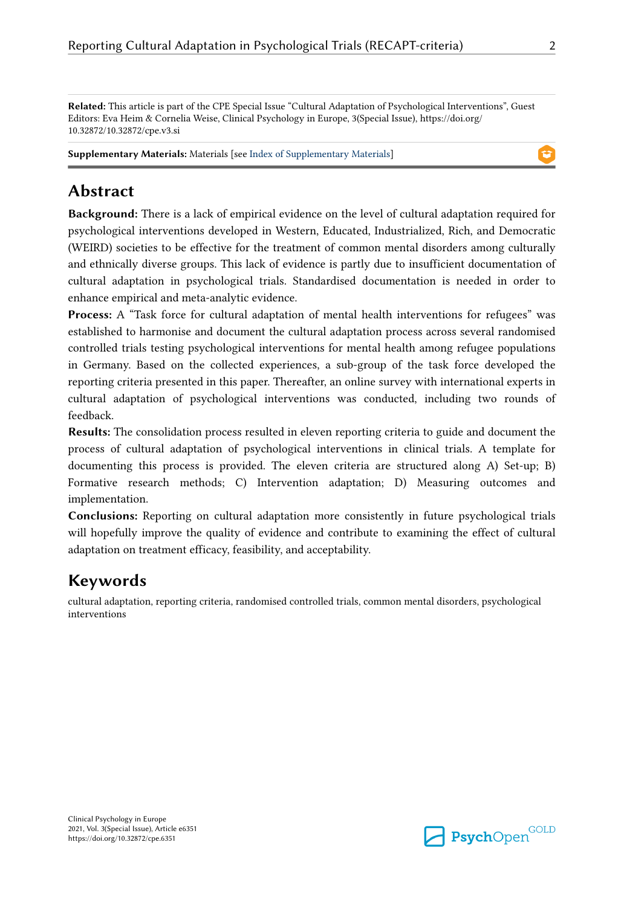**Related:** This article is part of the CPE Special Issue "Cultural Adaptation of Psychological Interventions", Guest Editors: Eva Heim & Cornelia Weise, Clinical Psychology in Europe, 3(Special Issue), https://doi.org/ 10.32872/10.32872/cpe.v3.si

**Supplementary Materials:** Materials [see [Index of Supplementary Materials\]](#page-15-0)

## **Abstract**

**Background:** There is a lack of empirical evidence on the level of cultural adaptation required for psychological interventions developed in Western, Educated, Industrialized, Rich, and Democratic (WEIRD) societies to be effective for the treatment of common mental disorders among culturally and ethnically diverse groups. This lack of evidence is partly due to insufficient documentation of cultural adaptation in psychological trials. Standardised documentation is needed in order to enhance empirical and meta-analytic evidence.

**Process:** A "Task force for cultural adaptation of mental health interventions for refugees" was established to harmonise and document the cultural adaptation process across several randomised controlled trials testing psychological interventions for mental health among refugee populations in Germany. Based on the collected experiences, a sub-group of the task force developed the reporting criteria presented in this paper. Thereafter, an online survey with international experts in cultural adaptation of psychological interventions was conducted, including two rounds of feedback.

**Results:** The consolidation process resulted in eleven reporting criteria to guide and document the process of cultural adaptation of psychological interventions in clinical trials. A template for documenting this process is provided. The eleven criteria are structured along A) Set-up; B) Formative research methods; C) Intervention adaptation; D) Measuring outcomes and implementation.

**Conclusions:** Reporting on cultural adaptation more consistently in future psychological trials will hopefully improve the quality of evidence and contribute to examining the effect of cultural adaptation on treatment efficacy, feasibility, and acceptability.

## **Keywords**

cultural adaptation, reporting criteria, randomised controlled trials, common mental disorders, psychological interventions

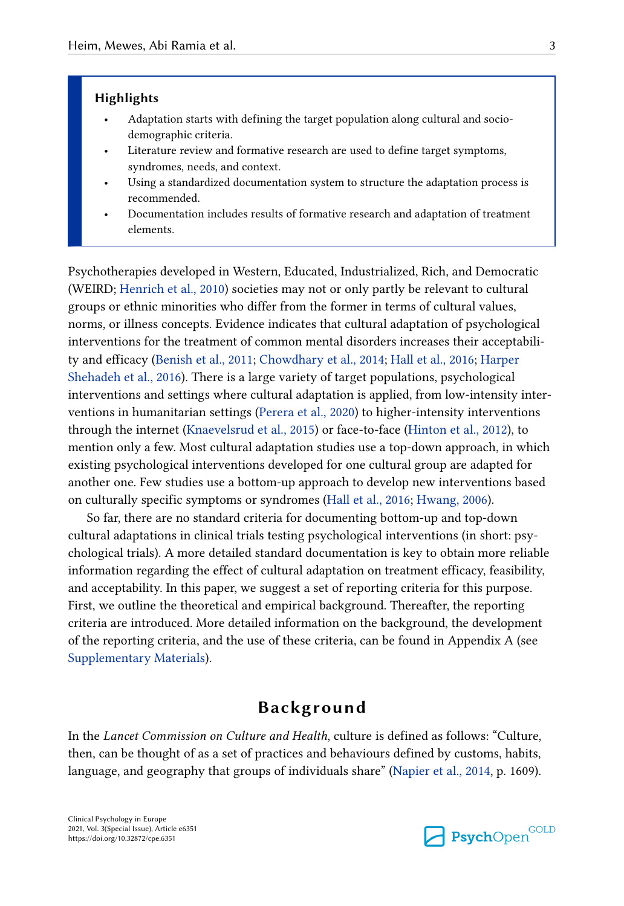#### **Highlights**

- Adaptation starts with defining the target population along cultural and sociodemographic criteria.
- Literature review and formative research are used to define target symptoms, syndromes, needs, and context.
- Using a standardized documentation system to structure the adaptation process is recommended.
- Documentation includes results of formative research and adaptation of treatment elements.

Psychotherapies developed in Western, Educated, Industrialized, Rich, and Democratic (WEIRD; [Henrich et al., 2010](#page-19-0)) societies may not or only partly be relevant to cultural groups or ethnic minorities who differ from the former in terms of cultural values, norms, or illness concepts. Evidence indicates that cultural adaptation of psychological interventions for the treatment of common mental disorders increases their acceptability and efficacy ([Benish et al., 2011;](#page-16-0) [Chowdhary et al., 2014](#page-17-0); [Hall et al., 2016;](#page-18-0) [Harper](#page-19-0) [Shehadeh et al., 2016\)](#page-19-0). There is a large variety of target populations, psychological interventions and settings where cultural adaptation is applied, from low-intensity interventions in humanitarian settings [\(Perera et al., 2020\)](#page-22-0) to higher-intensity interventions through the internet ([Knaevelsrud et al., 2015](#page-20-0)) or face-to-face [\(Hinton et al., 2012](#page-19-0)), to mention only a few. Most cultural adaptation studies use a top-down approach, in which existing psychological interventions developed for one cultural group are adapted for another one. Few studies use a bottom-up approach to develop new interventions based on culturally specific symptoms or syndromes [\(Hall et al., 2016;](#page-18-0) [Hwang, 2006\)](#page-19-0).

So far, there are no standard criteria for documenting bottom-up and top-down cultural adaptations in clinical trials testing psychological interventions (in short: psychological trials). A more detailed standard documentation is key to obtain more reliable information regarding the effect of cultural adaptation on treatment efficacy, feasibility, and acceptability. In this paper, we suggest a set of reporting criteria for this purpose. First, we outline the theoretical and empirical background. Thereafter, the reporting criteria are introduced. More detailed information on the background, the development of the reporting criteria, and the use of these criteria, can be found in Appendix A (see [Supplementary Materials\)](#page-15-0).

## **Background**

In the *Lancet Commission on Culture and Health*, culture is defined as follows: "Culture, then, can be thought of as a set of practices and behaviours defined by customs, habits, language, and geography that groups of individuals share" ([Napier et al., 2014,](#page-21-0) p. 1609).

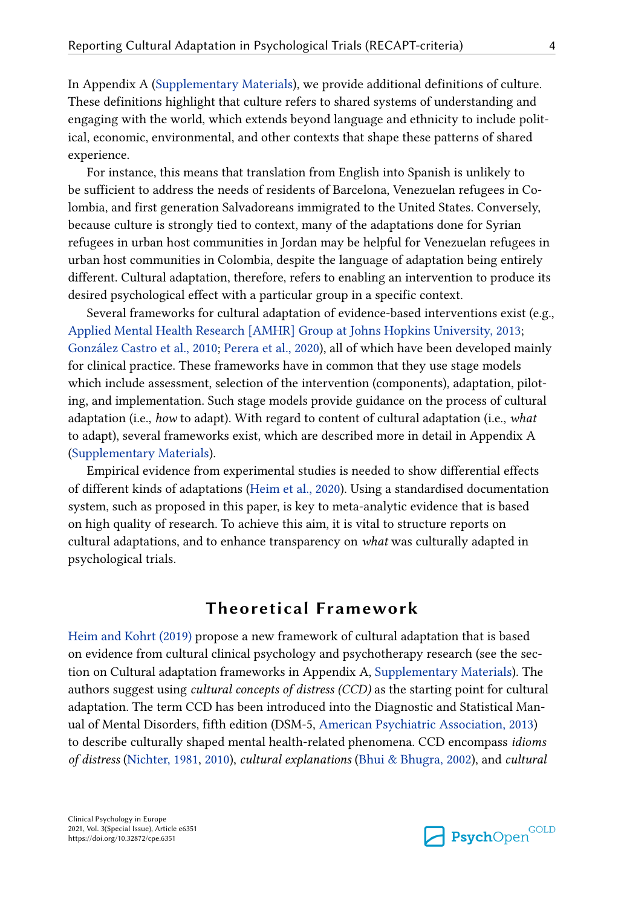In Appendix A ([Supplementary Materials\)](#page-15-0), we provide additional definitions of culture. These definitions highlight that culture refers to shared systems of understanding and engaging with the world, which extends beyond language and ethnicity to include political, economic, environmental, and other contexts that shape these patterns of shared experience.

For instance, this means that translation from English into Spanish is unlikely to be sufficient to address the needs of residents of Barcelona, Venezuelan refugees in Colombia, and first generation Salvadoreans immigrated to the United States. Conversely, because culture is strongly tied to context, many of the adaptations done for Syrian refugees in urban host communities in Jordan may be helpful for Venezuelan refugees in urban host communities in Colombia, despite the language of adaptation being entirely different. Cultural adaptation, therefore, refers to enabling an intervention to produce its desired psychological effect with a particular group in a specific context.

Several frameworks for cultural adaptation of evidence-based interventions exist (e.g., [Applied Mental Health Research \[AMHR\] Group at Johns Hopkins University, 2013;](#page-16-0) [González Castro et al., 2010](#page-18-0); [Perera et al., 2020\)](#page-22-0), all of which have been developed mainly for clinical practice. These frameworks have in common that they use stage models which include assessment, selection of the intervention (components), adaptation, piloting, and implementation. Such stage models provide guidance on the process of cultural adaptation (i.e., *how* to adapt). With regard to content of cultural adaptation (i.e., *what*  to adapt), several frameworks exist, which are described more in detail in Appendix A [\(Supplementary Materials\)](#page-15-0).

Empirical evidence from experimental studies is needed to show differential effects of different kinds of adaptations [\(Heim et al., 2020](#page-19-0)). Using a standardised documentation system, such as proposed in this paper, is key to meta-analytic evidence that is based on high quality of research. To achieve this aim, it is vital to structure reports on cultural adaptations, and to enhance transparency on *what* was culturally adapted in psychological trials.

## **Theoretical Framework**

[Heim and Kohrt \(2019\)](#page-19-0) propose a new framework of cultural adaptation that is based on evidence from cultural clinical psychology and psychotherapy research (see the section on Cultural adaptation frameworks in Appendix A, [Supplementary Materials\)](#page-15-0). The authors suggest using *cultural concepts of distress (CCD)* as the starting point for cultural adaptation. The term CCD has been introduced into the Diagnostic and Statistical Manual of Mental Disorders, fifth edition (DSM-5, [American Psychiatric Association, 2013](#page-16-0)) to describe culturally shaped mental health-related phenomena. CCD encompass *idioms of distress* [\(Nichter, 1981,](#page-21-0) [2010](#page-21-0)), *cultural explanations* [\(Bhui & Bhugra, 2002\)](#page-16-0), and *cultural* 

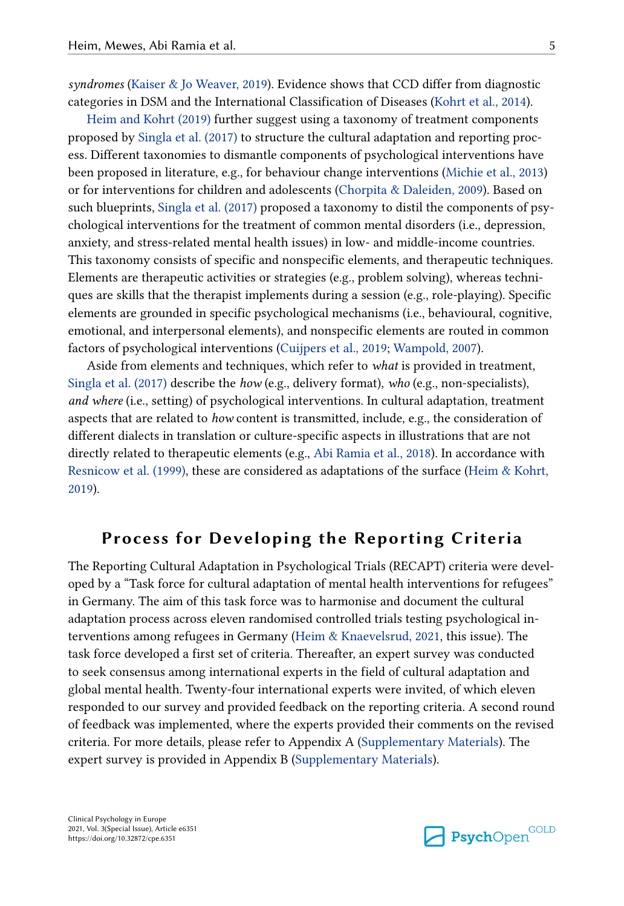*syndromes* [\(Kaiser & Jo Weaver, 2019](#page-19-0)). Evidence shows that CCD differ from diagnostic categories in DSM and the International Classification of Diseases ([Kohrt et al., 2014\)](#page-20-0).

[Heim and Kohrt \(2019\)](#page-19-0) further suggest using a taxonomy of treatment components proposed by [Singla et al. \(2017\)](#page-23-0) to structure the cultural adaptation and reporting process. Different taxonomies to dismantle components of psychological interventions have been proposed in literature, e.g., for behaviour change interventions ([Michie et al., 2013\)](#page-21-0) or for interventions for children and adolescents [\(Chorpita & Daleiden, 2009](#page-17-0)). Based on such blueprints, [Singla et al. \(2017\)](#page-23-0) proposed a taxonomy to distil the components of psychological interventions for the treatment of common mental disorders (i.e., depression, anxiety, and stress-related mental health issues) in low- and middle-income countries. This taxonomy consists of specific and nonspecific elements, and therapeutic techniques. Elements are therapeutic activities or strategies (e.g., problem solving), whereas techniques are skills that the therapist implements during a session (e.g., role-playing). Specific elements are grounded in specific psychological mechanisms (i.e., behavioural, cognitive, emotional, and interpersonal elements), and nonspecific elements are routed in common factors of psychological interventions [\(Cuijpers et al., 2019](#page-17-0); [Wampold, 2007\)](#page-23-0).

Aside from elements and techniques, which refer to *what* is provided in treatment, [Singla et al. \(2017\)](#page-23-0) describe the *how* (e.g., delivery format), *who* (e.g., non-specialists), *and where* (i.e., setting) of psychological interventions. In cultural adaptation, treatment aspects that are related to *how* content is transmitted, include, e.g., the consideration of different dialects in translation or culture-specific aspects in illustrations that are not directly related to therapeutic elements (e.g., [Abi Ramia et al., 2018](#page-16-0)). In accordance with [Resnicow et al. \(1999\)](#page-22-0), these are considered as adaptations of the surface [\(Heim & Kohrt,](#page-19-0) [2019\)](#page-19-0).

## **Process for Developing the Reporting Criteria**

The Reporting Cultural Adaptation in Psychological Trials (RECAPT) criteria were developed by a "Task force for cultural adaptation of mental health interventions for refugees" in Germany. The aim of this task force was to harmonise and document the cultural adaptation process across eleven randomised controlled trials testing psychological interventions among refugees in Germany ([Heim & Knaevelsrud, 2021](#page-19-0), this issue). The task force developed a first set of criteria. Thereafter, an expert survey was conducted to seek consensus among international experts in the field of cultural adaptation and global mental health. Twenty-four international experts were invited, of which eleven responded to our survey and provided feedback on the reporting criteria. A second round of feedback was implemented, where the experts provided their comments on the revised criteria. For more details, please refer to Appendix A [\(Supplementary Materials\)](#page-15-0). The expert survey is provided in Appendix B ([Supplementary Materials](#page-15-0)).

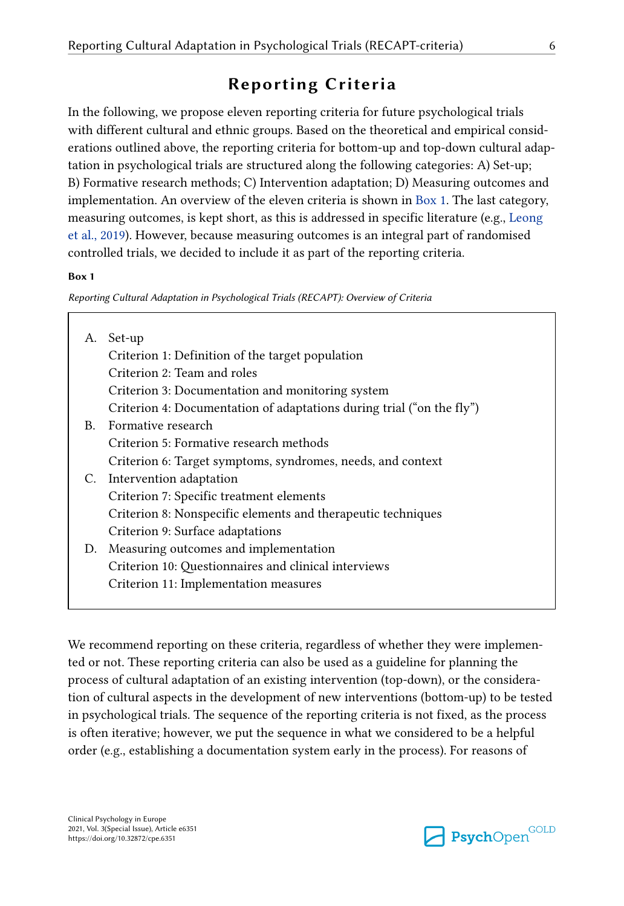## **Reporting Criteria**

In the following, we propose eleven reporting criteria for future psychological trials with different cultural and ethnic groups. Based on the theoretical and empirical considerations outlined above, the reporting criteria for bottom-up and top-down cultural adaptation in psychological trials are structured along the following categories: A) Set-up; B) Formative research methods; C) Intervention adaptation; D) Measuring outcomes and implementation. An overview of the eleven criteria is shown in Box 1. The last category, measuring outcomes, is kept short, as this is addressed in specific literature (e.g., [Leong](#page-20-0) [et al., 2019\)](#page-20-0). However, because measuring outcomes is an integral part of randomised controlled trials, we decided to include it as part of the reporting criteria.

#### **Box 1**

*Reporting Cultural Adaptation in Psychological Trials (RECAPT): Overview of Criteria*

| А. | Set-up                                                                |
|----|-----------------------------------------------------------------------|
|    | Criterion 1: Definition of the target population                      |
|    | Criterion 2: Team and roles                                           |
|    | Criterion 3: Documentation and monitoring system                      |
|    | Criterion 4: Documentation of adaptations during trial ("on the fly") |
| B. | Formative research                                                    |
|    | Criterion 5: Formative research methods                               |
|    | Criterion 6: Target symptoms, syndromes, needs, and context           |
| C. | Intervention adaptation                                               |
|    | Criterion 7: Specific treatment elements                              |
|    | Criterion 8: Nonspecific elements and therapeutic techniques          |
|    | Criterion 9: Surface adaptations                                      |
| D. | Measuring outcomes and implementation                                 |
|    | Criterion 10: Questionnaires and clinical interviews                  |
|    | Criterion 11: Implementation measures                                 |
|    |                                                                       |

We recommend reporting on these criteria, regardless of whether they were implemented or not. These reporting criteria can also be used as a guideline for planning the process of cultural adaptation of an existing intervention (top-down), or the consideration of cultural aspects in the development of new interventions (bottom-up) to be tested in psychological trials. The sequence of the reporting criteria is not fixed, as the process is often iterative; however, we put the sequence in what we considered to be a helpful order (e.g., establishing a documentation system early in the process). For reasons of

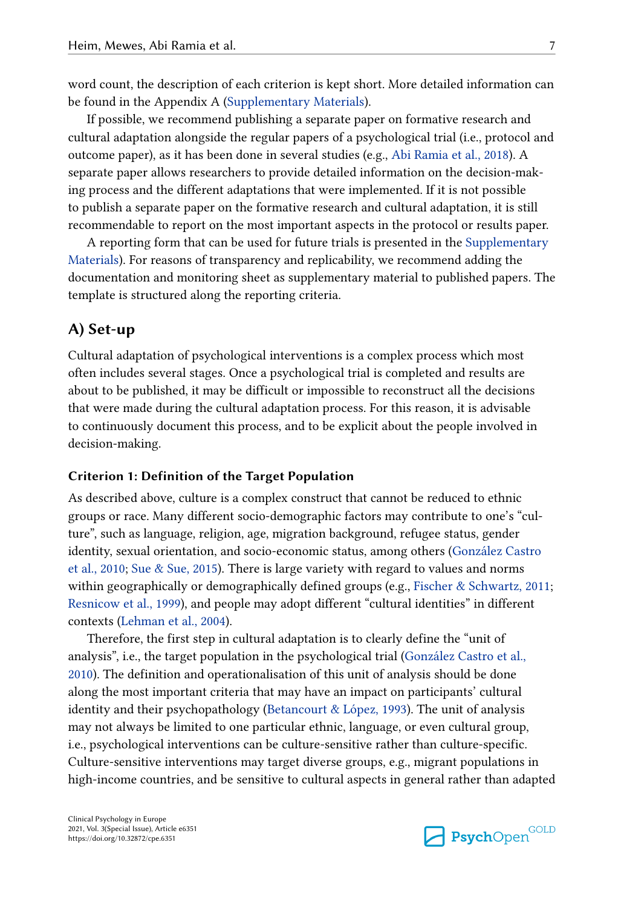word count, the description of each criterion is kept short. More detailed information can be found in the Appendix A [\(Supplementary Materials](#page-15-0)).

If possible, we recommend publishing a separate paper on formative research and cultural adaptation alongside the regular papers of a psychological trial (i.e., protocol and outcome paper), as it has been done in several studies (e.g., [Abi Ramia et al., 2018\)](#page-16-0). A separate paper allows researchers to provide detailed information on the decision-making process and the different adaptations that were implemented. If it is not possible to publish a separate paper on the formative research and cultural adaptation, it is still recommendable to report on the most important aspects in the protocol or results paper.

A reporting form that can be used for future trials is presented in the [Supplementary](#page-15-0)  [Materials](#page-15-0)). For reasons of transparency and replicability, we recommend adding the documentation and monitoring sheet as supplementary material to published papers. The template is structured along the reporting criteria.

#### **A) Set-up**

Cultural adaptation of psychological interventions is a complex process which most often includes several stages. Once a psychological trial is completed and results are about to be published, it may be difficult or impossible to reconstruct all the decisions that were made during the cultural adaptation process. For this reason, it is advisable to continuously document this process, and to be explicit about the people involved in decision-making.

#### **Criterion 1: Definition of the Target Population**

As described above, culture is a complex construct that cannot be reduced to ethnic groups or race. Many different socio-demographic factors may contribute to one's "culture", such as language, religion, age, migration background, refugee status, gender identity, sexual orientation, and socio-economic status, among others [\(González Castro](#page-18-0) [et al., 2010;](#page-18-0) [Sue & Sue, 2015](#page-23-0)). There is large variety with regard to values and norms within geographically or demographically defined groups (e.g., [Fischer & Schwartz, 2011;](#page-18-0) [Resnicow et al., 1999](#page-22-0)), and people may adopt different "cultural identities" in different contexts ([Lehman et al., 2004](#page-20-0)).

Therefore, the first step in cultural adaptation is to clearly define the "unit of analysis", i.e., the target population in the psychological trial ([González Castro et al.,](#page-18-0)  [2010\)](#page-18-0). The definition and operationalisation of this unit of analysis should be done along the most important criteria that may have an impact on participants' cultural identity and their psychopathology [\(Betancourt & López, 1993](#page-16-0)). The unit of analysis may not always be limited to one particular ethnic, language, or even cultural group, i.e., psychological interventions can be culture-sensitive rather than culture-specific. Culture-sensitive interventions may target diverse groups, e.g., migrant populations in high-income countries, and be sensitive to cultural aspects in general rather than adapted

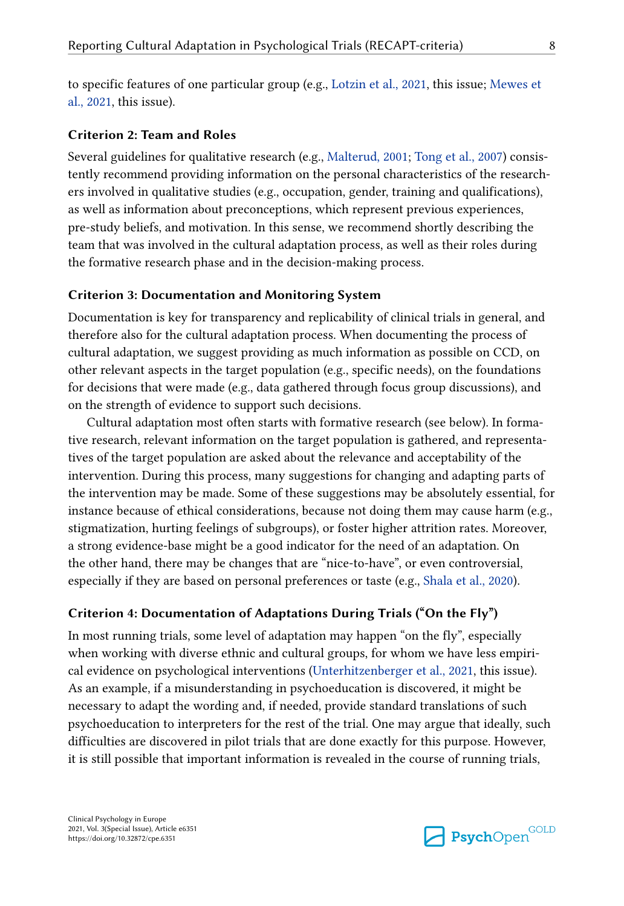to specific features of one particular group (e.g., [Lotzin et al., 2021,](#page-21-0) this issue; [Mewes et](#page-21-0) [al., 2021,](#page-21-0) this issue).

#### **Criterion 2: Team and Roles**

Several guidelines for qualitative research (e.g., [Malterud, 2001](#page-21-0); [Tong et al., 2007](#page-23-0)) consistently recommend providing information on the personal characteristics of the researchers involved in qualitative studies (e.g., occupation, gender, training and qualifications), as well as information about preconceptions, which represent previous experiences, pre-study beliefs, and motivation. In this sense, we recommend shortly describing the team that was involved in the cultural adaptation process, as well as their roles during the formative research phase and in the decision-making process.

#### **Criterion 3: Documentation and Monitoring System**

Documentation is key for transparency and replicability of clinical trials in general, and therefore also for the cultural adaptation process. When documenting the process of cultural adaptation, we suggest providing as much information as possible on CCD, on other relevant aspects in the target population (e.g., specific needs), on the foundations for decisions that were made (e.g., data gathered through focus group discussions), and on the strength of evidence to support such decisions.

Cultural adaptation most often starts with formative research (see below). In formative research, relevant information on the target population is gathered, and representatives of the target population are asked about the relevance and acceptability of the intervention. During this process, many suggestions for changing and adapting parts of the intervention may be made. Some of these suggestions may be absolutely essential, for instance because of ethical considerations, because not doing them may cause harm (e.g., stigmatization, hurting feelings of subgroups), or foster higher attrition rates. Moreover, a strong evidence-base might be a good indicator for the need of an adaptation. On the other hand, there may be changes that are "nice-to-have", or even controversial, especially if they are based on personal preferences or taste (e.g., [Shala et al., 2020\)](#page-22-0).

#### **Criterion 4: Documentation of Adaptations During Trials ("On the Fly")**

In most running trials, some level of adaptation may happen "on the fly", especially when working with diverse ethnic and cultural groups, for whom we have less empirical evidence on psychological interventions ([Unterhitzenberger et al., 2021](#page-23-0), this issue). As an example, if a misunderstanding in psychoeducation is discovered, it might be necessary to adapt the wording and, if needed, provide standard translations of such psychoeducation to interpreters for the rest of the trial. One may argue that ideally, such difficulties are discovered in pilot trials that are done exactly for this purpose. However, it is still possible that important information is revealed in the course of running trials,

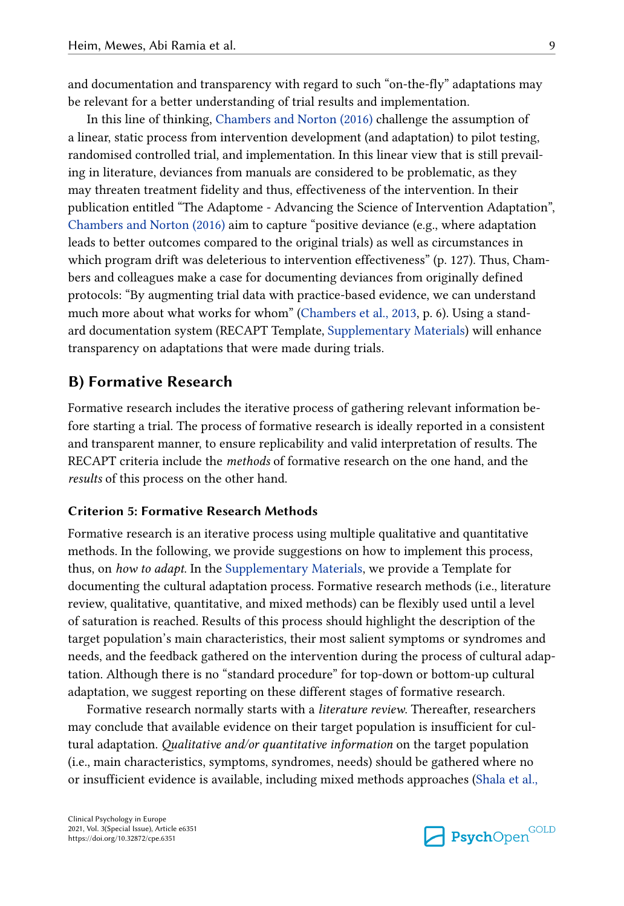and documentation and transparency with regard to such "on-the-fly" adaptations may be relevant for a better understanding of trial results and implementation.

In this line of thinking, [Chambers and Norton \(2016\)](#page-17-0) challenge the assumption of a linear, static process from intervention development (and adaptation) to pilot testing, randomised controlled trial, and implementation. In this linear view that is still prevailing in literature, deviances from manuals are considered to be problematic, as they may threaten treatment fidelity and thus, effectiveness of the intervention. In their publication entitled "The Adaptome - Advancing the Science of Intervention Adaptation", [Chambers and Norton \(2016\)](#page-17-0) aim to capture "positive deviance (e.g., where adaptation leads to better outcomes compared to the original trials) as well as circumstances in which program drift was deleterious to intervention effectiveness" (p. 127). Thus, Chambers and colleagues make a case for documenting deviances from originally defined protocols: "By augmenting trial data with practice-based evidence, we can understand much more about what works for whom" ([Chambers et al., 2013](#page-17-0), p. 6). Using a standard documentation system (RECAPT Template, [Supplementary Materials\)](#page-15-0) will enhance transparency on adaptations that were made during trials.

#### **B) Formative Research**

Formative research includes the iterative process of gathering relevant information before starting a trial. The process of formative research is ideally reported in a consistent and transparent manner, to ensure replicability and valid interpretation of results. The RECAPT criteria include the *methods* of formative research on the one hand, and the *results* of this process on the other hand.

#### **Criterion 5: Formative Research Methods**

Formative research is an iterative process using multiple qualitative and quantitative methods. In the following, we provide suggestions on how to implement this process, thus, on *how to adapt*. In the [Supplementary Materials,](#page-15-0) we provide a Template for documenting the cultural adaptation process. Formative research methods (i.e., literature review, qualitative, quantitative, and mixed methods) can be flexibly used until a level of saturation is reached. Results of this process should highlight the description of the target population's main characteristics, their most salient symptoms or syndromes and needs, and the feedback gathered on the intervention during the process of cultural adaptation. Although there is no "standard procedure" for top-down or bottom-up cultural adaptation, we suggest reporting on these different stages of formative research.

Formative research normally starts with a *literature review*. Thereafter, researchers may conclude that available evidence on their target population is insufficient for cultural adaptation. *Qualitative and/or quantitative information* on the target population (i.e., main characteristics, symptoms, syndromes, needs) should be gathered where no or insufficient evidence is available, including mixed methods approaches [\(Shala et al.,](#page-22-0)

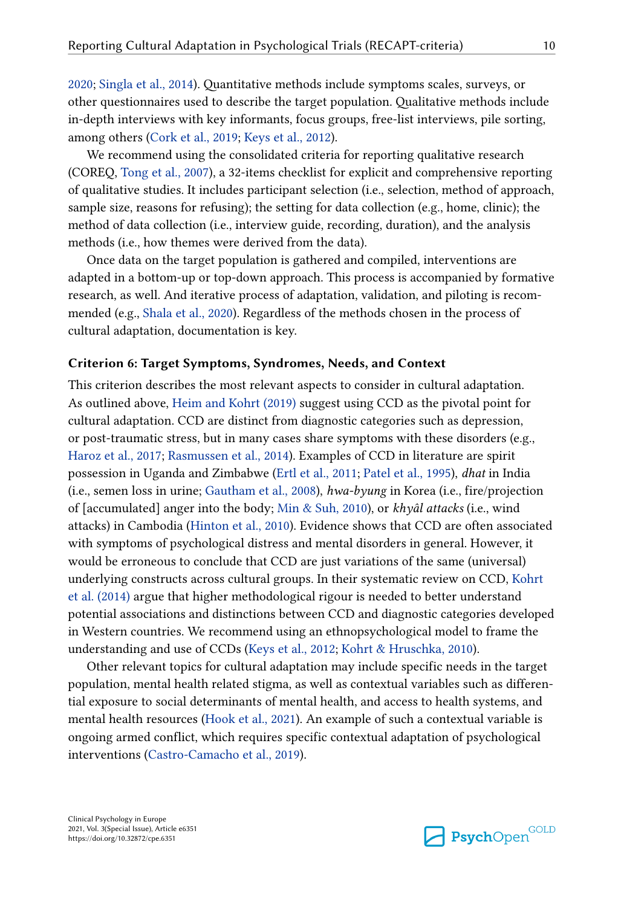[2020;](#page-22-0) [Singla et al., 2014](#page-23-0)). Quantitative methods include symptoms scales, surveys, or other questionnaires used to describe the target population. Qualitative methods include in-depth interviews with key informants, focus groups, free-list interviews, pile sorting, among others ([Cork et al., 2019](#page-17-0); [Keys et al., 2012](#page-20-0)).

We recommend using the consolidated criteria for reporting qualitative research (COREQ, [Tong et al., 2007\)](#page-23-0), a 32-items checklist for explicit and comprehensive reporting of qualitative studies. It includes participant selection (i.e., selection, method of approach, sample size, reasons for refusing); the setting for data collection (e.g., home, clinic); the method of data collection (i.e., interview guide, recording, duration), and the analysis methods (i.e., how themes were derived from the data).

Once data on the target population is gathered and compiled, interventions are adapted in a bottom-up or top-down approach. This process is accompanied by formative research, as well. And iterative process of adaptation, validation, and piloting is recommended (e.g., [Shala et al., 2020\)](#page-22-0). Regardless of the methods chosen in the process of cultural adaptation, documentation is key.

#### **Criterion 6: Target Symptoms, Syndromes, Needs, and Context**

This criterion describes the most relevant aspects to consider in cultural adaptation. As outlined above, [Heim and Kohrt \(2019\)](#page-19-0) suggest using CCD as the pivotal point for cultural adaptation. CCD are distinct from diagnostic categories such as depression, or post-traumatic stress, but in many cases share symptoms with these disorders (e.g., [Haroz et al., 2017](#page-18-0); [Rasmussen et al., 2014\)](#page-22-0). Examples of CCD in literature are spirit possession in Uganda and Zimbabwe [\(Ertl et al., 2011;](#page-18-0) [Patel et al., 1995](#page-22-0)), *dhat* in India (i.e., semen loss in urine; [Gautham et al., 2008](#page-18-0)), *hwa-byung* in Korea (i.e., fire/projection of [accumulated] anger into the body; [Min & Suh, 2010](#page-21-0)), or *khyâl attacks* (i.e., wind attacks) in Cambodia ([Hinton et al., 2010](#page-19-0)). Evidence shows that CCD are often associated with symptoms of psychological distress and mental disorders in general. However, it would be erroneous to conclude that CCD are just variations of the same (universal) underlying constructs across cultural groups. In their systematic review on CCD, [Kohrt](#page-20-0)  [et al. \(2014\)](#page-20-0) argue that higher methodological rigour is needed to better understand potential associations and distinctions between CCD and diagnostic categories developed in Western countries. We recommend using an ethnopsychological model to frame the understanding and use of CCDs [\(Keys et al., 2012](#page-20-0); [Kohrt & Hruschka, 2010\)](#page-20-0).

Other relevant topics for cultural adaptation may include specific needs in the target population, mental health related stigma, as well as contextual variables such as differential exposure to social determinants of mental health, and access to health systems, and mental health resources ([Hook et al., 2021\)](#page-19-0). An example of such a contextual variable is ongoing armed conflict, which requires specific contextual adaptation of psychological interventions [\(Castro-Camacho et al., 2019\)](#page-17-0).

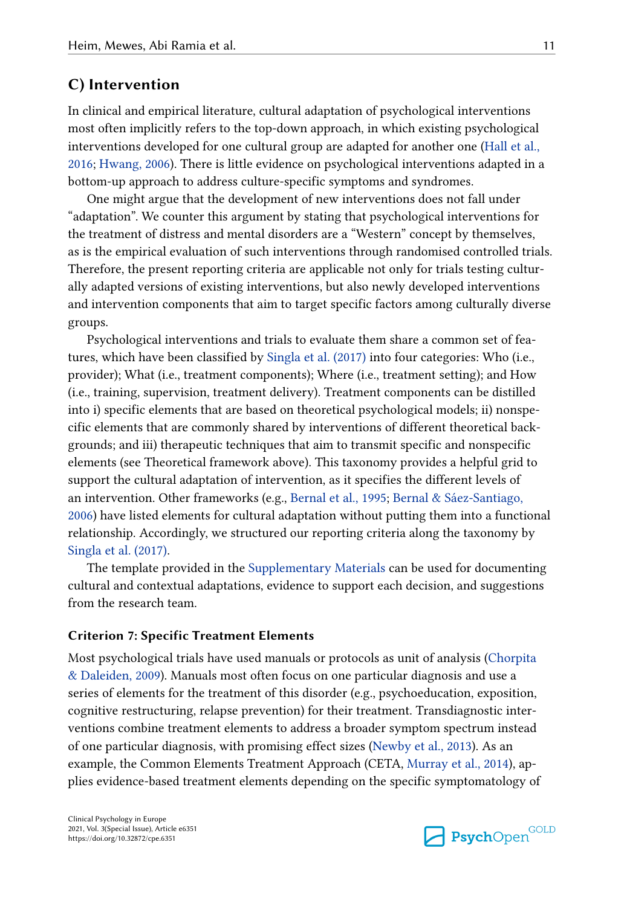#### **C) Intervention**

In clinical and empirical literature, cultural adaptation of psychological interventions most often implicitly refers to the top-down approach, in which existing psychological interventions developed for one cultural group are adapted for another one [\(Hall et al.,](#page-18-0)  [2016;](#page-18-0) [Hwang, 2006\)](#page-19-0). There is little evidence on psychological interventions adapted in a bottom-up approach to address culture-specific symptoms and syndromes.

One might argue that the development of new interventions does not fall under "adaptation". We counter this argument by stating that psychological interventions for the treatment of distress and mental disorders are a "Western" concept by themselves, as is the empirical evaluation of such interventions through randomised controlled trials. Therefore, the present reporting criteria are applicable not only for trials testing culturally adapted versions of existing interventions, but also newly developed interventions and intervention components that aim to target specific factors among culturally diverse groups.

Psychological interventions and trials to evaluate them share a common set of features, which have been classified by [Singla et al. \(2017\)](#page-23-0) into four categories: Who (i.e., provider); What (i.e., treatment components); Where (i.e., treatment setting); and How (i.e., training, supervision, treatment delivery). Treatment components can be distilled into i) specific elements that are based on theoretical psychological models; ii) nonspecific elements that are commonly shared by interventions of different theoretical backgrounds; and iii) therapeutic techniques that aim to transmit specific and nonspecific elements (see Theoretical framework above). This taxonomy provides a helpful grid to support the cultural adaptation of intervention, as it specifies the different levels of an intervention. Other frameworks (e.g., [Bernal et al., 1995;](#page-16-0) [Bernal & Sáez-Santiago,](#page-16-0) [2006\)](#page-16-0) have listed elements for cultural adaptation without putting them into a functional relationship. Accordingly, we structured our reporting criteria along the taxonomy by [Singla et al. \(2017\)](#page-23-0).

The template provided in the [Supplementary Materials](#page-15-0) can be used for documenting cultural and contextual adaptations, evidence to support each decision, and suggestions from the research team.

#### **Criterion 7: Specific Treatment Elements**

Most psychological trials have used manuals or protocols as unit of analysis [\(Chorpita](#page-17-0) [& Daleiden, 2009](#page-17-0)). Manuals most often focus on one particular diagnosis and use a series of elements for the treatment of this disorder (e.g., psychoeducation, exposition, cognitive restructuring, relapse prevention) for their treatment. Transdiagnostic interventions combine treatment elements to address a broader symptom spectrum instead of one particular diagnosis, with promising effect sizes ([Newby et al., 2013\)](#page-21-0). As an example, the Common Elements Treatment Approach (CETA, [Murray et al., 2014\)](#page-21-0), applies evidence-based treatment elements depending on the specific symptomatology of

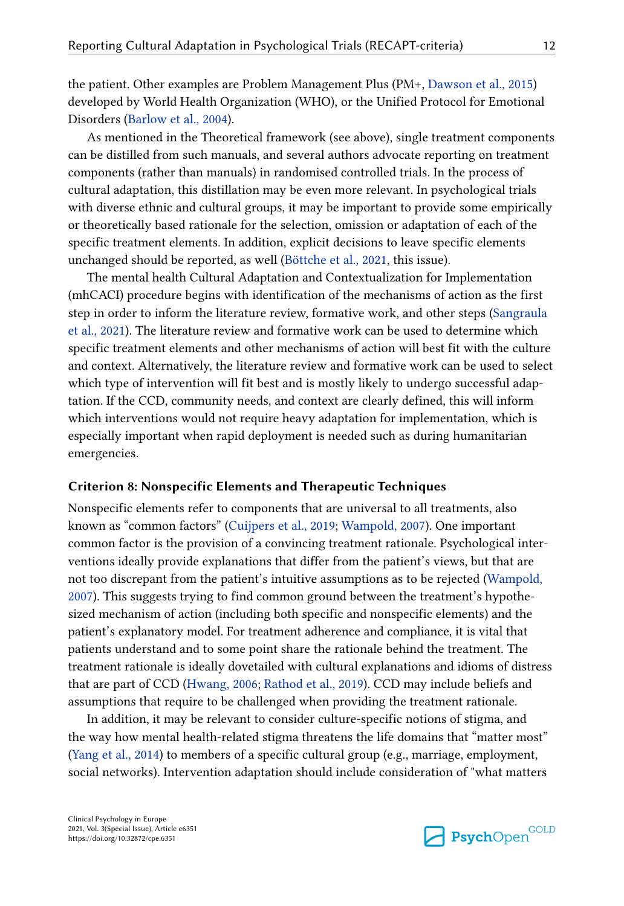the patient. Other examples are Problem Management Plus (PM+, [Dawson et al., 2015\)](#page-17-0) developed by World Health Organization (WHO), or the Unified Protocol for Emotional Disorders ([Barlow et al., 2004\)](#page-16-0).

As mentioned in the Theoretical framework (see above), single treatment components can be distilled from such manuals, and several authors advocate reporting on treatment components (rather than manuals) in randomised controlled trials. In the process of cultural adaptation, this distillation may be even more relevant. In psychological trials with diverse ethnic and cultural groups, it may be important to provide some empirically or theoretically based rationale for the selection, omission or adaptation of each of the specific treatment elements. In addition, explicit decisions to leave specific elements unchanged should be reported, as well ([Böttche et al., 2021](#page-16-0), this issue).

The mental health Cultural Adaptation and Contextualization for Implementation (mhCACI) procedure begins with identification of the mechanisms of action as the first step in order to inform the literature review, formative work, and other steps ([Sangraula](#page-22-0)  [et al., 2021\)](#page-22-0). The literature review and formative work can be used to determine which specific treatment elements and other mechanisms of action will best fit with the culture and context. Alternatively, the literature review and formative work can be used to select which type of intervention will fit best and is mostly likely to undergo successful adaptation. If the CCD, community needs, and context are clearly defined, this will inform which interventions would not require heavy adaptation for implementation, which is especially important when rapid deployment is needed such as during humanitarian emergencies.

#### **Criterion 8: Nonspecific Elements and Therapeutic Techniques**

Nonspecific elements refer to components that are universal to all treatments, also known as "common factors" [\(Cuijpers et al., 2019](#page-17-0); [Wampold, 2007\)](#page-23-0). One important common factor is the provision of a convincing treatment rationale. Psychological interventions ideally provide explanations that differ from the patient's views, but that are not too discrepant from the patient's intuitive assumptions as to be rejected [\(Wampold,](#page-23-0)  [2007\)](#page-23-0). This suggests trying to find common ground between the treatment's hypothesized mechanism of action (including both specific and nonspecific elements) and the patient's explanatory model. For treatment adherence and compliance, it is vital that patients understand and to some point share the rationale behind the treatment. The treatment rationale is ideally dovetailed with cultural explanations and idioms of distress that are part of CCD [\(Hwang, 2006](#page-19-0); [Rathod et al., 2019\)](#page-22-0). CCD may include beliefs and assumptions that require to be challenged when providing the treatment rationale.

In addition, it may be relevant to consider culture-specific notions of stigma, and the way how mental health-related stigma threatens the life domains that "matter most" [\(Yang et al., 2014](#page-23-0)) to members of a specific cultural group (e.g., marriage, employment, social networks). Intervention adaptation should include consideration of "what matters

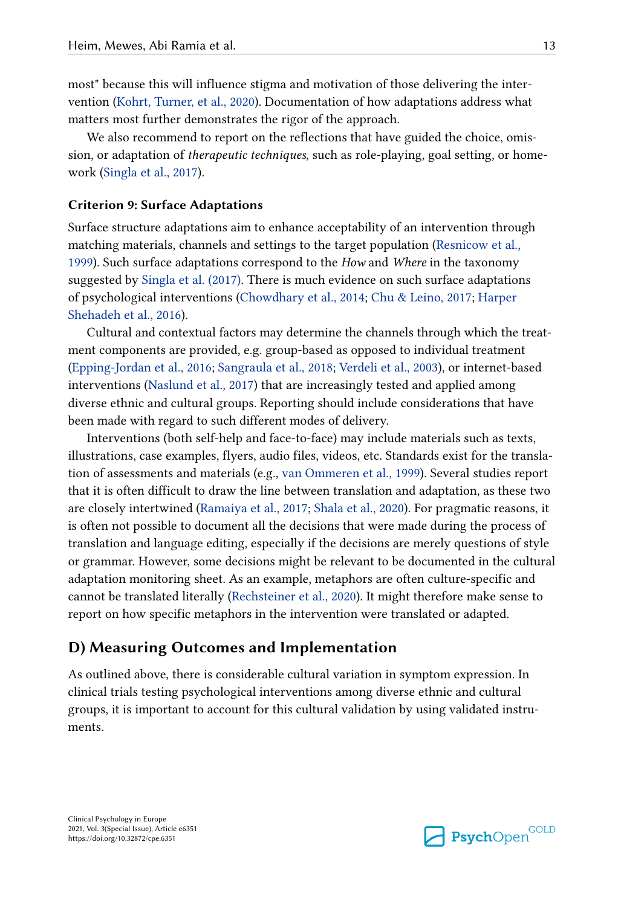most" because this will influence stigma and motivation of those delivering the intervention ([Kohrt, Turner, et al., 2020\)](#page-20-0). Documentation of how adaptations address what matters most further demonstrates the rigor of the approach.

We also recommend to report on the reflections that have guided the choice, omission, or adaptation of *therapeutic techniques*, such as role-playing, goal setting, or homework ([Singla et al., 2017](#page-23-0)).

#### **Criterion 9: Surface Adaptations**

Surface structure adaptations aim to enhance acceptability of an intervention through matching materials, channels and settings to the target population [\(Resnicow et al.,](#page-22-0)  [1999\)](#page-22-0). Such surface adaptations correspond to the *How* and *Where* in the taxonomy suggested by [Singla et al. \(2017\).](#page-23-0) There is much evidence on such surface adaptations of psychological interventions [\(Chowdhary et al., 2014; Chu & Leino, 2017;](#page-17-0) [Harper](#page-19-0)  [Shehadeh et al., 2016\)](#page-19-0).

Cultural and contextual factors may determine the channels through which the treatment components are provided, e.g. group-based as opposed to individual treatment [\(Epping‐Jordan et al., 2016;](#page-18-0) [Sangraula et al., 2018;](#page-22-0) [Verdeli et al., 2003\)](#page-23-0), or internet-based interventions [\(Naslund et al., 2017](#page-21-0)) that are increasingly tested and applied among diverse ethnic and cultural groups. Reporting should include considerations that have been made with regard to such different modes of delivery.

Interventions (both self-help and face-to-face) may include materials such as texts, illustrations, case examples, flyers, audio files, videos, etc. Standards exist for the translation of assessments and materials (e.g., [van Ommeren et al., 1999](#page-23-0)). Several studies report that it is often difficult to draw the line between translation and adaptation, as these two are closely intertwined [\(Ramaiya et al., 2017;](#page-22-0) [Shala et al., 2020](#page-22-0)). For pragmatic reasons, it is often not possible to document all the decisions that were made during the process of translation and language editing, especially if the decisions are merely questions of style or grammar. However, some decisions might be relevant to be documented in the cultural adaptation monitoring sheet. As an example, metaphors are often culture-specific and cannot be translated literally ([Rechsteiner et al., 2020](#page-22-0)). It might therefore make sense to report on how specific metaphors in the intervention were translated or adapted.

#### **D) Measuring Outcomes and Implementation**

As outlined above, there is considerable cultural variation in symptom expression. In clinical trials testing psychological interventions among diverse ethnic and cultural groups, it is important to account for this cultural validation by using validated instruments.

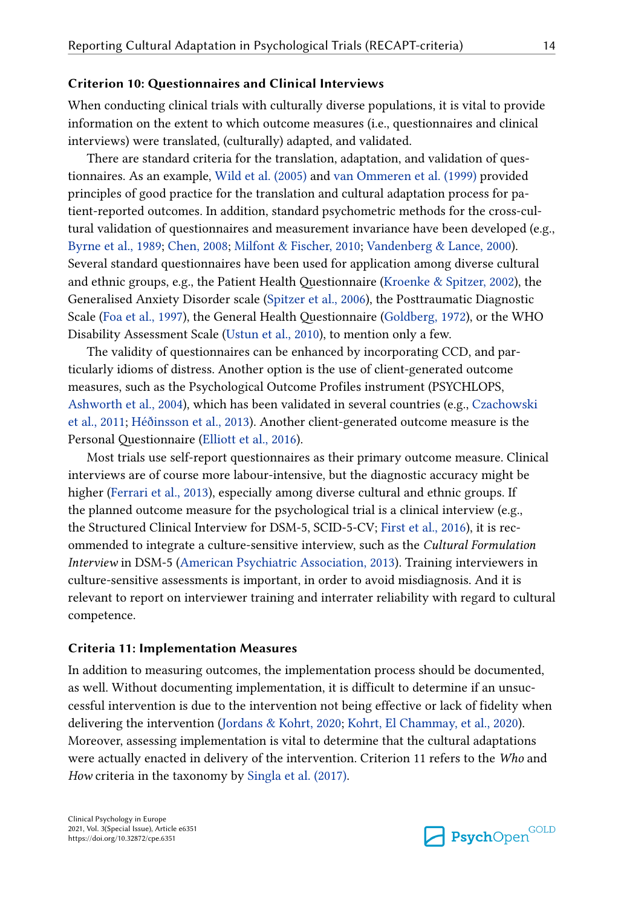#### **Criterion 10: Questionnaires and Clinical Interviews**

When conducting clinical trials with culturally diverse populations, it is vital to provide information on the extent to which outcome measures (i.e., questionnaires and clinical interviews) were translated, (culturally) adapted, and validated.

There are standard criteria for the translation, adaptation, and validation of questionnaires. As an example, [Wild et al. \(2005\)](#page-23-0) and [van Ommeren et al. \(1999\)](#page-23-0) provided principles of good practice for the translation and cultural adaptation process for patient-reported outcomes. In addition, standard psychometric methods for the cross-cultural validation of questionnaires and measurement invariance have been developed (e.g., [Byrne et al., 1989](#page-17-0); [Chen, 2008;](#page-17-0) [Milfont & Fischer, 2010](#page-21-0); [Vandenberg & Lance, 2000](#page-23-0)). Several standard questionnaires have been used for application among diverse cultural and ethnic groups, e.g., the Patient Health Questionnaire ([Kroenke & Spitzer, 2002\)](#page-20-0), the Generalised Anxiety Disorder scale ([Spitzer et al., 2006](#page-23-0)), the Posttraumatic Diagnostic Scale [\(Foa et al., 1997](#page-18-0)), the General Health Questionnaire [\(Goldberg, 1972](#page-18-0)), or the WHO Disability Assessment Scale ([Ustun et al., 2010](#page-23-0)), to mention only a few.

The validity of questionnaires can be enhanced by incorporating CCD, and particularly idioms of distress. Another option is the use of client-generated outcome measures, such as the Psychological Outcome Profiles instrument (PSYCHLOPS, [Ashworth et al., 2004](#page-16-0)), which has been validated in several countries (e.g., [Czachowski](#page-17-0) [et al., 2011;](#page-17-0) [Héðinsson et al., 2013](#page-19-0)). Another client-generated outcome measure is the Personal Questionnaire [\(Elliott et al., 2016](#page-18-0)).

Most trials use self-report questionnaires as their primary outcome measure. Clinical interviews are of course more labour-intensive, but the diagnostic accuracy might be higher [\(Ferrari et al., 2013](#page-18-0)), especially among diverse cultural and ethnic groups. If the planned outcome measure for the psychological trial is a clinical interview (e.g., the Structured Clinical Interview for DSM-5, SCID-5-CV; [First et al., 2016](#page-18-0)), it is recommended to integrate a culture-sensitive interview, such as the *Cultural Formulation Interview* in DSM-5 ([American Psychiatric Association, 2013](#page-16-0)). Training interviewers in culture-sensitive assessments is important, in order to avoid misdiagnosis. And it is relevant to report on interviewer training and interrater reliability with regard to cultural competence.

#### **Criteria 11: Implementation Measures**

In addition to measuring outcomes, the implementation process should be documented, as well. Without documenting implementation, it is difficult to determine if an unsuccessful intervention is due to the intervention not being effective or lack of fidelity when delivering the intervention [\(Jordans & Kohrt, 2020](#page-19-0); [Kohrt, El Chammay, et al., 2020\)](#page-20-0). Moreover, assessing implementation is vital to determine that the cultural adaptations were actually enacted in delivery of the intervention. Criterion 11 refers to the *Who* and *How* criteria in the taxonomy by [Singla et al. \(2017\)](#page-23-0).

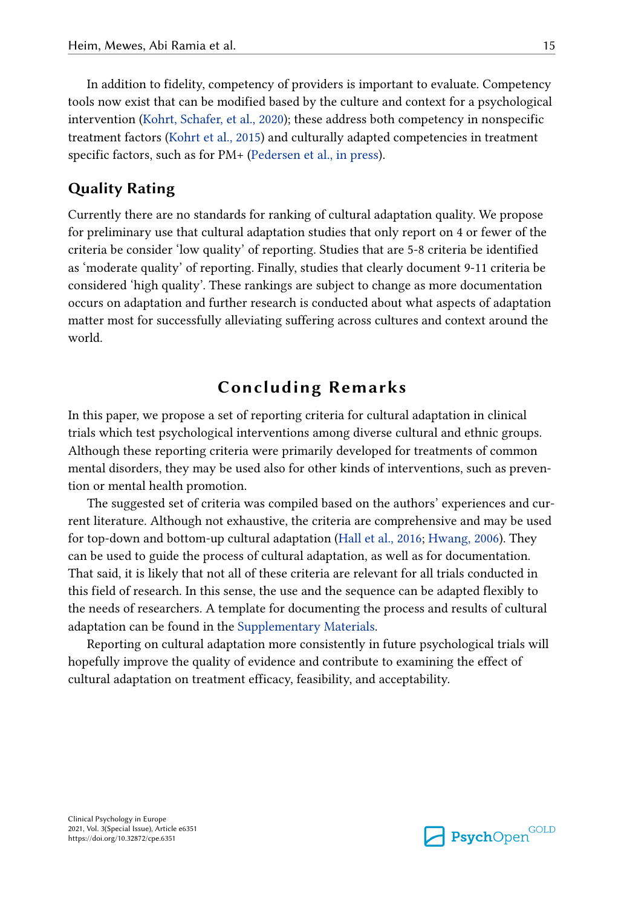In addition to fidelity, competency of providers is important to evaluate. Competency tools now exist that can be modified based by the culture and context for a psychological intervention [\(Kohrt, Schafer, et al., 2020\)](#page-20-0); these address both competency in nonspecific treatment factors ([Kohrt et al., 2015\)](#page-20-0) and culturally adapted competencies in treatment specific factors, such as for PM+ [\(Pedersen et al., in press\)](#page-22-0).

## **Quality Rating**

Currently there are no standards for ranking of cultural adaptation quality. We propose for preliminary use that cultural adaptation studies that only report on 4 or fewer of the criteria be consider 'low quality' of reporting. Studies that are 5-8 criteria be identified as 'moderate quality' of reporting. Finally, studies that clearly document 9-11 criteria be considered 'high quality'. These rankings are subject to change as more documentation occurs on adaptation and further research is conducted about what aspects of adaptation matter most for successfully alleviating suffering across cultures and context around the world.

## **Concluding Remarks**

In this paper, we propose a set of reporting criteria for cultural adaptation in clinical trials which test psychological interventions among diverse cultural and ethnic groups. Although these reporting criteria were primarily developed for treatments of common mental disorders, they may be used also for other kinds of interventions, such as prevention or mental health promotion.

The suggested set of criteria was compiled based on the authors' experiences and current literature. Although not exhaustive, the criteria are comprehensive and may be used for top-down and bottom-up cultural adaptation ([Hall et al., 2016](#page-18-0); [Hwang, 2006](#page-19-0)). They can be used to guide the process of cultural adaptation, as well as for documentation. That said, it is likely that not all of these criteria are relevant for all trials conducted in this field of research. In this sense, the use and the sequence can be adapted flexibly to the needs of researchers. A template for documenting the process and results of cultural adaptation can be found in the [Supplementary Materials](#page-15-0).

Reporting on cultural adaptation more consistently in future psychological trials will hopefully improve the quality of evidence and contribute to examining the effect of cultural adaptation on treatment efficacy, feasibility, and acceptability.

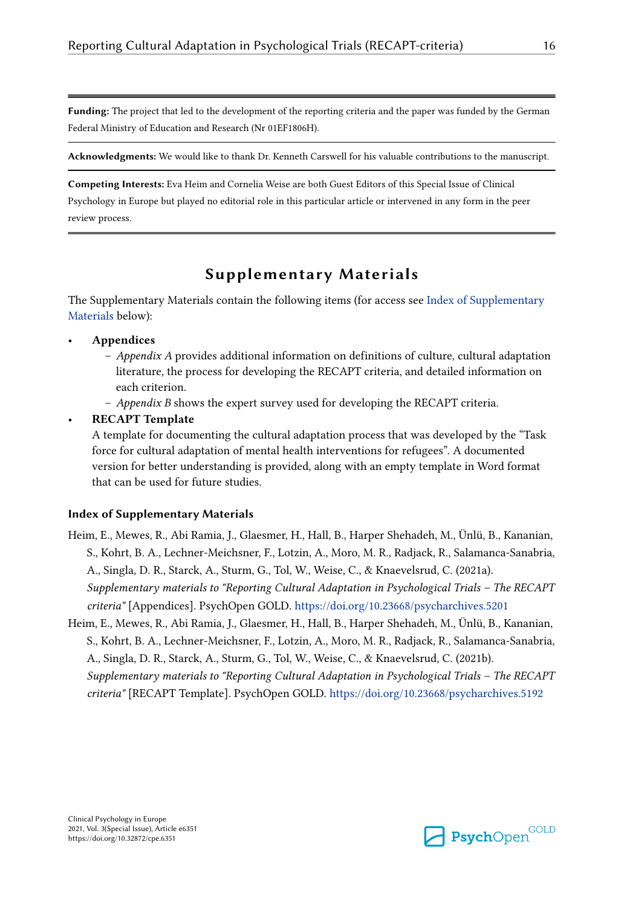<span id="page-15-0"></span>**Funding:** The project that led to the development of the reporting criteria and the paper was funded by the German Federal Ministry of Education and Research (Nr 01EF1806H).

**Acknowledgments:** We would like to thank Dr. Kenneth Carswell for his valuable contributions to the manuscript.

**Competing Interests:** Eva Heim and Cornelia Weise are both Guest Editors of this Special Issue of Clinical Psychology in Europe but played no editorial role in this particular article or intervened in any form in the peer review process.

## **Supplementary Materials**

The Supplementary Materials contain the following items (for access see Index of Supplementary Materials below):

- **Appendices**
	- *Appendix A* provides additional information on definitions of culture, cultural adaptation literature, the process for developing the RECAPT criteria, and detailed information on each criterion.
	- *Appendix B* shows the expert survey used for developing the RECAPT criteria.
- **RECAPT Template**

A template for documenting the cultural adaptation process that was developed by the "Task force for cultural adaptation of mental health interventions for refugees". A documented version for better understanding is provided, along with an empty template in Word format that can be used for future studies.

#### **Index of Supplementary Materials**

- Heim, E., Mewes, R., Abi Ramia, J., Glaesmer, H., Hall, B., Harper Shehadeh, M., Ünlü, B., Kananian, S., Kohrt, B. A., Lechner-Meichsner, F., Lotzin, A., Moro, M. R., Radjack, R., Salamanca-Sanabria, A., Singla, D. R., Starck, A., Sturm, G., Tol, W., Weise, C., & Knaevelsrud, C. (2021a). *Supplementary materials to "Reporting Cultural Adaptation in Psychological Trials – The RECAPT criteria"* [Appendices]. PsychOpen GOLD.<https://doi.org/10.23668/psycharchives.5201>
- Heim, E., Mewes, R., Abi Ramia, J., Glaesmer, H., Hall, B., Harper Shehadeh, M., Ünlü, B., Kananian, S., Kohrt, B. A., Lechner-Meichsner, F., Lotzin, A., Moro, M. R., Radjack, R., Salamanca-Sanabria, A., Singla, D. R., Starck, A., Sturm, G., Tol, W., Weise, C., & Knaevelsrud, C. (2021b). *Supplementary materials to "Reporting Cultural Adaptation in Psychological Trials – The RECAPT criteria"* [RECAPT Template]. PsychOpen GOLD.<https://doi.org/10.23668/psycharchives.5192>

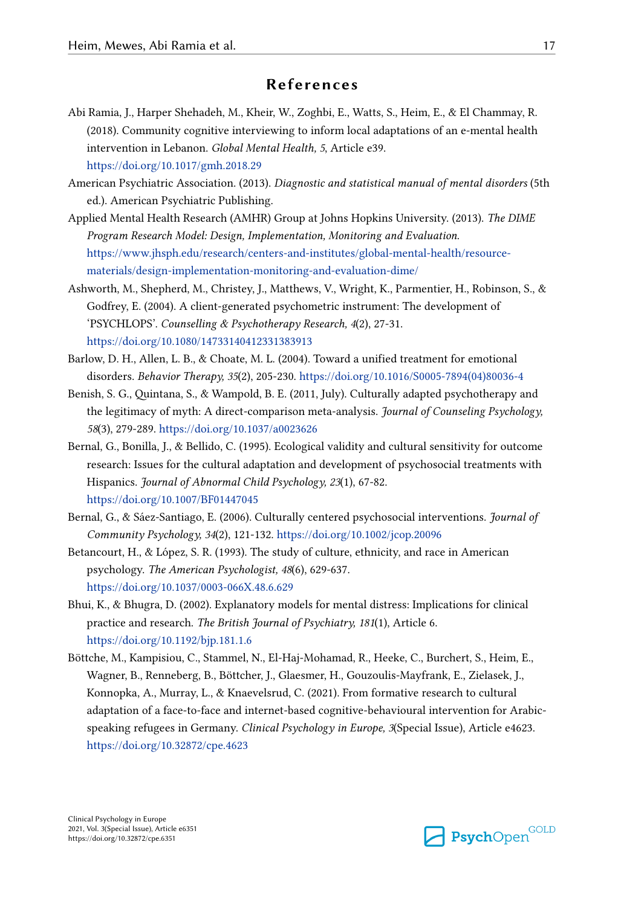## **References**

- <span id="page-16-0"></span>Abi Ramia, J., Harper Shehadeh, M., Kheir, W., Zoghbi, E., Watts, S., Heim, E., & El Chammay, R. (2018). Community cognitive interviewing to inform local adaptations of an e-mental health intervention in Lebanon. *Global Mental Health, 5*, Article e39. <https://doi.org/10.1017/gmh.2018.29>
- American Psychiatric Association. (2013). *Diagnostic and statistical manual of mental disorders* (5th ed.). American Psychiatric Publishing.
- Applied Mental Health Research (AMHR) Group at Johns Hopkins University. (2013). *The DIME Program Research Model: Design, Implementation, Monitoring and Evaluation*. [https://www.jhsph.edu/research/centers-and-institutes/global-mental-health/resource](https://www.jhsph.edu/research/centers-and-institutes/global-mental-health/resource-materials/design-implementation-monitoring-and-evaluation-dime/)[materials/design-implementation-monitoring-and-evaluation-dime/](https://www.jhsph.edu/research/centers-and-institutes/global-mental-health/resource-materials/design-implementation-monitoring-and-evaluation-dime/)
- Ashworth, M., Shepherd, M., Christey, J., Matthews, V., Wright, K., Parmentier, H., Robinson, S., & Godfrey, E. (2004). A client-generated psychometric instrument: The development of 'PSYCHLOPS'. *Counselling & Psychotherapy Research, 4*(2), 27-31. <https://doi.org/10.1080/14733140412331383913>
- Barlow, D. H., Allen, L. B., & Choate, M. L. (2004). Toward a unified treatment for emotional disorders. *Behavior Therapy, 35*(2), 205-230. [https://doi.org/10.1016/S0005-7894\(04\)80036-4](https://doi.org/10.1016/S0005-7894(04)80036-4)
- Benish, S. G., Quintana, S., & Wampold, B. E. (2011, July). Culturally adapted psychotherapy and the legitimacy of myth: A direct-comparison meta-analysis. *Journal of Counseling Psychology, 58*(3), 279-289.<https://doi.org/10.1037/a0023626>
- Bernal, G., Bonilla, J., & Bellido, C. (1995). Ecological validity and cultural sensitivity for outcome research: Issues for the cultural adaptation and development of psychosocial treatments with Hispanics. *Journal of Abnormal Child Psychology, 23*(1), 67-82. <https://doi.org/10.1007/BF01447045>
- Bernal, G., & Sáez-Santiago, E. (2006). Culturally centered psychosocial interventions. *Journal of Community Psychology, 34*(2), 121-132. <https://doi.org/10.1002/jcop.20096>
- Betancourt, H., & López, S. R. (1993). The study of culture, ethnicity, and race in American psychology. *The American Psychologist, 48*(6), 629-637. <https://doi.org/10.1037/0003-066X.48.6.629>
- Bhui, K., & Bhugra, D. (2002). Explanatory models for mental distress: Implications for clinical practice and research. *The British Journal of Psychiatry, 181*(1), Article 6. <https://doi.org/10.1192/bjp.181.1.6>
- Böttche, M., Kampisiou, C., Stammel, N., El-Haj-Mohamad, R., Heeke, C., Burchert, S., Heim, E., Wagner, B., Renneberg, B., Böttcher, J., Glaesmer, H., Gouzoulis-Mayfrank, E., Zielasek, J., Konnopka, A., Murray, L., & Knaevelsrud, C. (2021). From formative research to cultural adaptation of a face-to-face and internet-based cognitive-behavioural intervention for Arabicspeaking refugees in Germany. *Clinical Psychology in Europe, 3*(Special Issue), Article e4623. <https://doi.org/10.32872/cpe.4623>

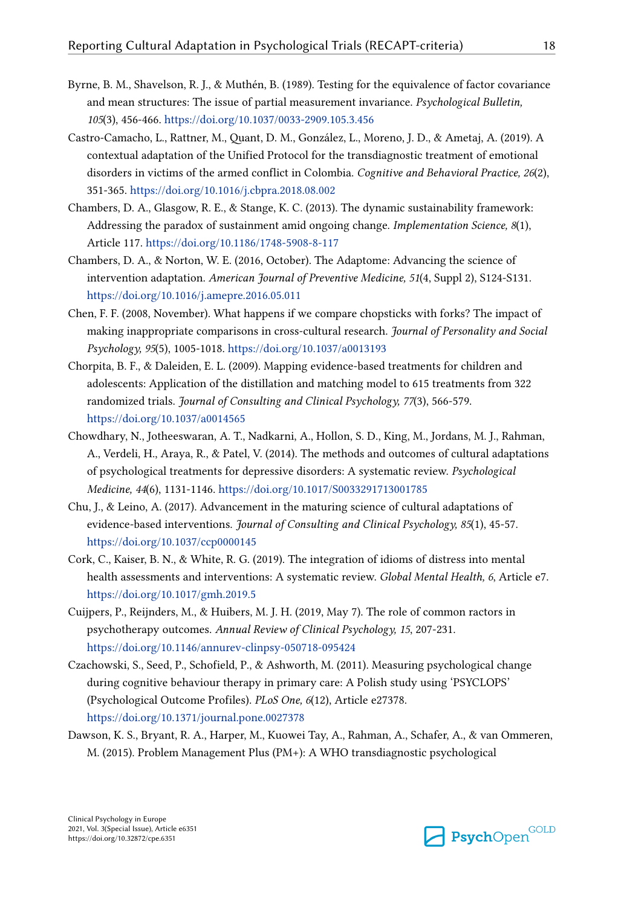- <span id="page-17-0"></span>Byrne, B. M., Shavelson, R. J., & Muthén, B. (1989). Testing for the equivalence of factor covariance and mean structures: The issue of partial measurement invariance. *Psychological Bulletin, 105*(3), 456-466.<https://doi.org/10.1037/0033-2909.105.3.456>
- Castro-Camacho, L., Rattner, M., Quant, D. M., González, L., Moreno, J. D., & Ametaj, A. (2019). A contextual adaptation of the Unified Protocol for the transdiagnostic treatment of emotional disorders in victims of the armed conflict in Colombia. *Cognitive and Behavioral Practice, 26*(2), 351-365. <https://doi.org/10.1016/j.cbpra.2018.08.002>
- Chambers, D. A., Glasgow, R. E., & Stange, K. C. (2013). The dynamic sustainability framework: Addressing the paradox of sustainment amid ongoing change. *Implementation Science, 8*(1), Article 117.<https://doi.org/10.1186/1748-5908-8-117>
- Chambers, D. A., & Norton, W. E. (2016, October). The Adaptome: Advancing the science of intervention adaptation. *American Journal of Preventive Medicine, 51*(4, Suppl 2), S124-S131. <https://doi.org/10.1016/j.amepre.2016.05.011>
- Chen, F. F. (2008, November). What happens if we compare chopsticks with forks? The impact of making inappropriate comparisons in cross-cultural research. *Journal of Personality and Social Psychology, 95*(5), 1005-1018. <https://doi.org/10.1037/a0013193>
- Chorpita, B. F., & Daleiden, E. L. (2009). Mapping evidence-based treatments for children and adolescents: Application of the distillation and matching model to 615 treatments from 322 randomized trials. *Journal of Consulting and Clinical Psychology, 77*(3), 566-579. <https://doi.org/10.1037/a0014565>
- Chowdhary, N., Jotheeswaran, A. T., Nadkarni, A., Hollon, S. D., King, M., Jordans, M. J., Rahman, A., Verdeli, H., Araya, R., & Patel, V. (2014). The methods and outcomes of cultural adaptations of psychological treatments for depressive disorders: A systematic review. *Psychological Medicine, 44*(6), 1131-1146. <https://doi.org/10.1017/S0033291713001785>
- Chu, J., & Leino, A. (2017). Advancement in the maturing science of cultural adaptations of evidence-based interventions. *Journal of Consulting and Clinical Psychology, 85*(1), 45-57. <https://doi.org/10.1037/ccp0000145>
- Cork, C., Kaiser, B. N., & White, R. G. (2019). The integration of idioms of distress into mental health assessments and interventions: A systematic review. *Global Mental Health, 6*, Article e7. <https://doi.org/10.1017/gmh.2019.5>
- Cuijpers, P., Reijnders, M., & Huibers, M. J. H. (2019, May 7). The role of common ractors in psychotherapy outcomes. *Annual Review of Clinical Psychology, 15*, 207-231. <https://doi.org/10.1146/annurev-clinpsy-050718-095424>
- Czachowski, S., Seed, P., Schofield, P., & Ashworth, M. (2011). Measuring psychological change during cognitive behaviour therapy in primary care: A Polish study using 'PSYCLOPS' (Psychological Outcome Profiles). *PLoS One, 6*(12), Article e27378. <https://doi.org/10.1371/journal.pone.0027378>
- Dawson, K. S., Bryant, R. A., Harper, M., Kuowei Tay, A., Rahman, A., Schafer, A., & van Ommeren, M. (2015). Problem Management Plus (PM+): A WHO transdiagnostic psychological

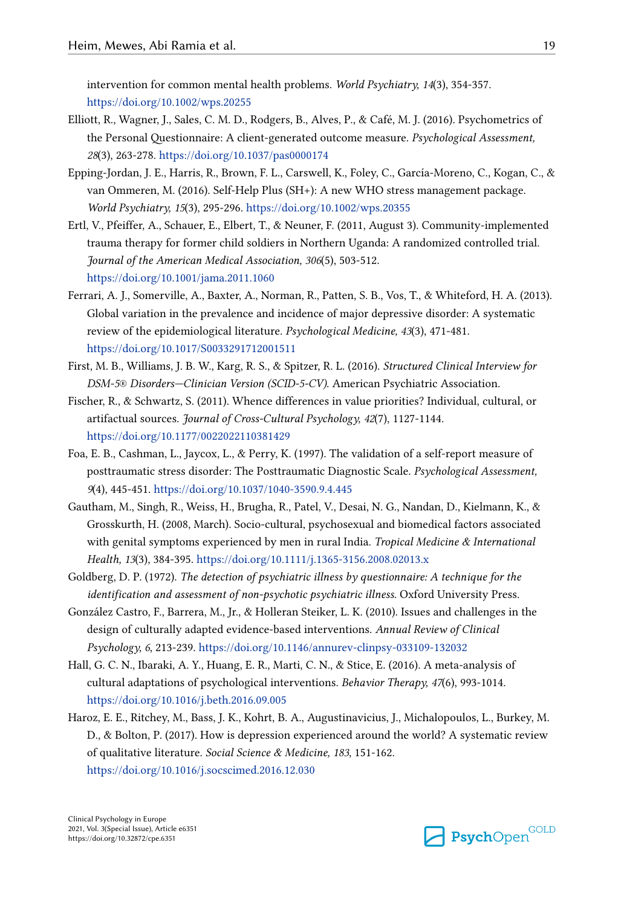<span id="page-18-0"></span>intervention for common mental health problems. *World Psychiatry, 14*(3), 354-357. <https://doi.org/10.1002/wps.20255>

- Elliott, R., Wagner, J., Sales, C. M. D., Rodgers, B., Alves, P., & Café, M. J. (2016). Psychometrics of the Personal Questionnaire: A client-generated outcome measure. *Psychological Assessment, 28*(3), 263-278.<https://doi.org/10.1037/pas0000174>
- Epping‐Jordan, J. E., Harris, R., Brown, F. L., Carswell, K., Foley, C., García‐Moreno, C., Kogan, C., & van Ommeren, M. (2016). Self‐Help Plus (SH+): A new WHO stress management package. *World Psychiatry, 15*(3), 295-296. <https://doi.org/10.1002/wps.20355>
- Ertl, V., Pfeiffer, A., Schauer, E., Elbert, T., & Neuner, F. (2011, August 3). Community-implemented trauma therapy for former child soldiers in Northern Uganda: A randomized controlled trial. *Journal of the American Medical Association, 306*(5), 503-512. <https://doi.org/10.1001/jama.2011.1060>
- Ferrari, A. J., Somerville, A., Baxter, A., Norman, R., Patten, S. B., Vos, T., & Whiteford, H. A. (2013). Global variation in the prevalence and incidence of major depressive disorder: A systematic review of the epidemiological literature. *Psychological Medicine, 43*(3), 471-481. <https://doi.org/10.1017/S0033291712001511>
- First, M. B., Williams, J. B. W., Karg, R. S., & Spitzer, R. L. (2016). *Structured Clinical Interview for DSM-5® Disorders—Clinician Version (SCID-5-CV)*. American Psychiatric Association.
- Fischer, R., & Schwartz, S. (2011). Whence differences in value priorities? Individual, cultural, or artifactual sources. *Journal of Cross-Cultural Psychology, 42*(7), 1127-1144. <https://doi.org/10.1177/0022022110381429>
- Foa, E. B., Cashman, L., Jaycox, L., & Perry, K. (1997). The validation of a self-report measure of posttraumatic stress disorder: The Posttraumatic Diagnostic Scale. *Psychological Assessment, 9*(4), 445-451.<https://doi.org/10.1037/1040-3590.9.4.445>
- Gautham, M., Singh, R., Weiss, H., Brugha, R., Patel, V., Desai, N. G., Nandan, D., Kielmann, K., & Grosskurth, H. (2008, March). Socio-cultural, psychosexual and biomedical factors associated with genital symptoms experienced by men in rural India. *Tropical Medicine & International Health, 13*(3), 384-395.<https://doi.org/10.1111/j.1365-3156.2008.02013.x>
- Goldberg, D. P. (1972). *The detection of psychiatric illness by questionnaire: A technique for the identification and assessment of non-psychotic psychiatric illness*. Oxford University Press.
- González Castro, F., Barrera, M., Jr., & Holleran Steiker, L. K. (2010). Issues and challenges in the design of culturally adapted evidence-based interventions. *Annual Review of Clinical Psychology, 6*, 213-239.<https://doi.org/10.1146/annurev-clinpsy-033109-132032>
- Hall, G. C. N., Ibaraki, A. Y., Huang, E. R., Marti, C. N., & Stice, E. (2016). A meta-analysis of cultural adaptations of psychological interventions. *Behavior Therapy, 47*(6), 993-1014. <https://doi.org/10.1016/j.beth.2016.09.005>
- Haroz, E. E., Ritchey, M., Bass, J. K., Kohrt, B. A., Augustinavicius, J., Michalopoulos, L., Burkey, M. D., & Bolton, P. (2017). How is depression experienced around the world? A systematic review of qualitative literature. *Social Science & Medicine, 183*, 151-162. <https://doi.org/10.1016/j.socscimed.2016.12.030>

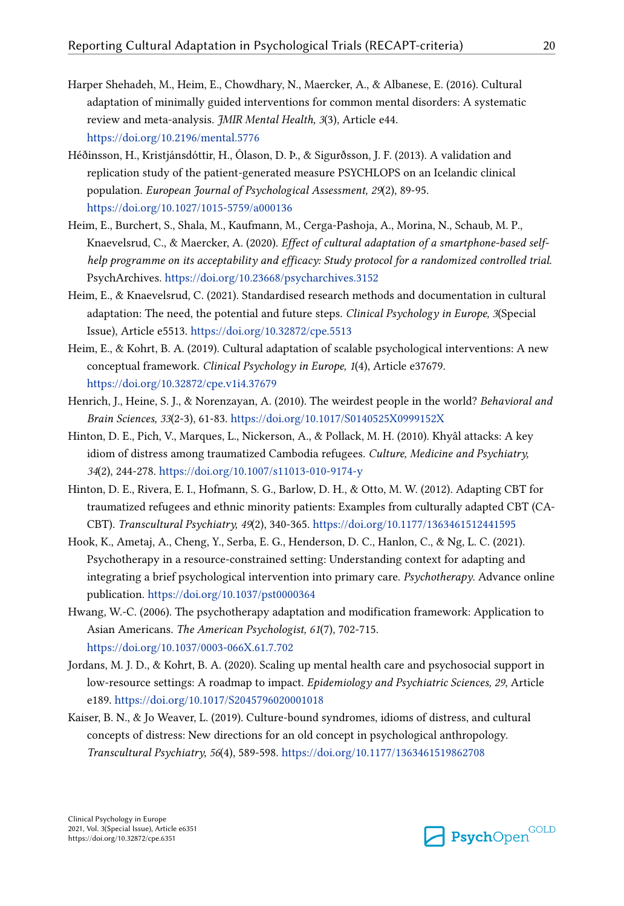- <span id="page-19-0"></span>Harper Shehadeh, M., Heim, E., Chowdhary, N., Maercker, A., & Albanese, E. (2016). Cultural adaptation of minimally guided interventions for common mental disorders: A systematic review and meta-analysis. *JMIR Mental Health, 3*(3), Article e44. <https://doi.org/10.2196/mental.5776>
- Héðinsson, H., Kristjánsdóttir, H., Ólason, D. Þ., & Sigurðsson, J. F. (2013). A validation and replication study of the patient-generated measure PSYCHLOPS on an Icelandic clinical population. *European Journal of Psychological Assessment, 29*(2), 89-95. <https://doi.org/10.1027/1015-5759/a000136>
- Heim, E., Burchert, S., Shala, M., Kaufmann, M., Cerga-Pashoja, A., Morina, N., Schaub, M. P., Knaevelsrud, C., & Maercker, A. (2020). *Effect of cultural adaptation of a smartphone-based selfhelp programme on its acceptability and efficacy: Study protocol for a randomized controlled trial.*  PsychArchives. <https://doi.org/10.23668/psycharchives.3152>
- Heim, E., & Knaevelsrud, C. (2021). Standardised research methods and documentation in cultural adaptation: The need, the potential and future steps. *Clinical Psychology in Europe, 3*(Special Issue), Article e5513. <https://doi.org/10.32872/cpe.5513>
- Heim, E., & Kohrt, B. A. (2019). Cultural adaptation of scalable psychological interventions: A new conceptual framework. *Clinical Psychology in Europe, 1*(4), Article e37679. <https://doi.org/10.32872/cpe.v1i4.37679>
- Henrich, J., Heine, S. J., & Norenzayan, A. (2010). The weirdest people in the world? *Behavioral and Brain Sciences, 33*(2-3), 61-83.<https://doi.org/10.1017/S0140525X0999152X>
- Hinton, D. E., Pich, V., Marques, L., Nickerson, A., & Pollack, M. H. (2010). Khyâl attacks: A key idiom of distress among traumatized Cambodia refugees. *Culture, Medicine and Psychiatry, 34*(2), 244-278.<https://doi.org/10.1007/s11013-010-9174-y>
- Hinton, D. E., Rivera, E. I., Hofmann, S. G., Barlow, D. H., & Otto, M. W. (2012). Adapting CBT for traumatized refugees and ethnic minority patients: Examples from culturally adapted CBT (CA-CBT). *Transcultural Psychiatry, 49*(2), 340-365. <https://doi.org/10.1177/1363461512441595>
- Hook, K., Ametaj, A., Cheng, Y., Serba, E. G., Henderson, D. C., Hanlon, C., & Ng, L. C. (2021). Psychotherapy in a resource-constrained setting: Understanding context for adapting and integrating a brief psychological intervention into primary care. *Psychotherapy*. Advance online publication. <https://doi.org/10.1037/pst0000364>
- Hwang, W.-C. (2006). The psychotherapy adaptation and modification framework: Application to Asian Americans. *The American Psychologist, 61*(7), 702-715. <https://doi.org/10.1037/0003-066X.61.7.702>
- Jordans, M. J. D., & Kohrt, B. A. (2020). Scaling up mental health care and psychosocial support in low-resource settings: A roadmap to impact. *Epidemiology and Psychiatric Sciences, 29*, Article e189.<https://doi.org/10.1017/S2045796020001018>
- Kaiser, B. N., & Jo Weaver, L. (2019). Culture-bound syndromes, idioms of distress, and cultural concepts of distress: New directions for an old concept in psychological anthropology. *Transcultural Psychiatry, 56*(4), 589-598.<https://doi.org/10.1177/1363461519862708>

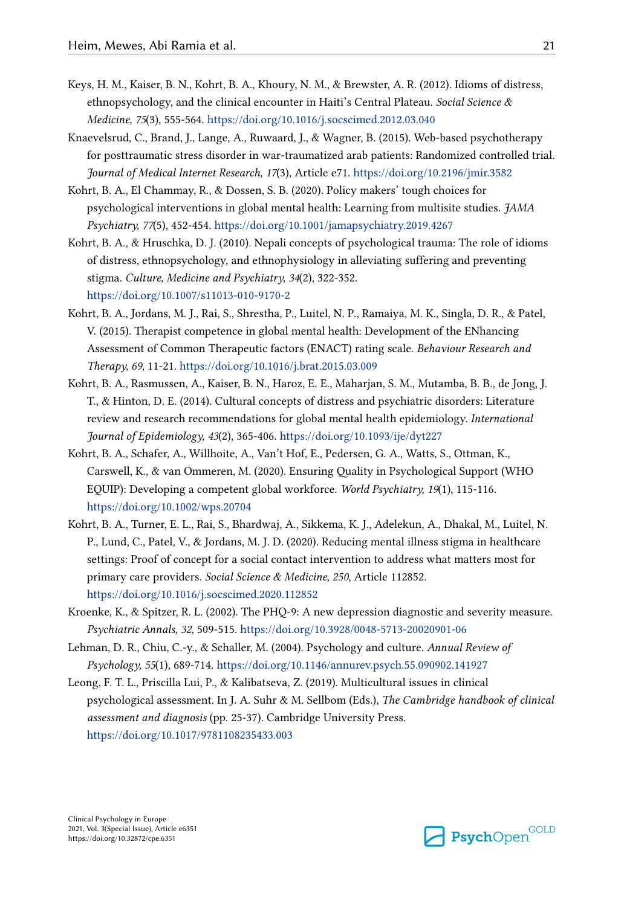- <span id="page-20-0"></span>Keys, H. M., Kaiser, B. N., Kohrt, B. A., Khoury, N. M., & Brewster, A. R. (2012). Idioms of distress, ethnopsychology, and the clinical encounter in Haiti's Central Plateau. *Social Science & Medicine, 75*(3), 555-564. <https://doi.org/10.1016/j.socscimed.2012.03.040>
- Knaevelsrud, C., Brand, J., Lange, A., Ruwaard, J., & Wagner, B. (2015). Web-based psychotherapy for posttraumatic stress disorder in war-traumatized arab patients: Randomized controlled trial. *Journal of Medical Internet Research, 17*(3), Article e71.<https://doi.org/10.2196/jmir.3582>
- Kohrt, B. A., El Chammay, R., & Dossen, S. B. (2020). Policy makers' tough choices for psychological interventions in global mental health: Learning from multisite studies. *JAMA Psychiatry, 77*(5), 452-454. <https://doi.org/10.1001/jamapsychiatry.2019.4267>
- Kohrt, B. A., & Hruschka, D. J. (2010). Nepali concepts of psychological trauma: The role of idioms of distress, ethnopsychology, and ethnophysiology in alleviating suffering and preventing stigma. *Culture, Medicine and Psychiatry, 34*(2), 322-352. <https://doi.org/10.1007/s11013-010-9170-2>
- Kohrt, B. A., Jordans, M. J., Rai, S., Shrestha, P., Luitel, N. P., Ramaiya, M. K., Singla, D. R., & Patel, V. (2015). Therapist competence in global mental health: Development of the ENhancing Assessment of Common Therapeutic factors (ENACT) rating scale. *Behaviour Research and Therapy, 69*, 11-21. <https://doi.org/10.1016/j.brat.2015.03.009>
- Kohrt, B. A., Rasmussen, A., Kaiser, B. N., Haroz, E. E., Maharjan, S. M., Mutamba, B. B., de Jong, J. T., & Hinton, D. E. (2014). Cultural concepts of distress and psychiatric disorders: Literature review and research recommendations for global mental health epidemiology. *International Journal of Epidemiology, 43*(2), 365-406. <https://doi.org/10.1093/ije/dyt227>
- Kohrt, B. A., Schafer, A., Willhoite, A., Van't Hof, E., Pedersen, G. A., Watts, S., Ottman, K., Carswell, K., & van Ommeren, M. (2020). Ensuring Quality in Psychological Support (WHO EQUIP): Developing a competent global workforce. *World Psychiatry, 19*(1), 115-116. <https://doi.org/10.1002/wps.20704>
- Kohrt, B. A., Turner, E. L., Rai, S., Bhardwaj, A., Sikkema, K. J., Adelekun, A., Dhakal, M., Luitel, N. P., Lund, C., Patel, V., & Jordans, M. J. D. (2020). Reducing mental illness stigma in healthcare settings: Proof of concept for a social contact intervention to address what matters most for primary care providers. *Social Science & Medicine, 250*, Article 112852. <https://doi.org/10.1016/j.socscimed.2020.112852>
- Kroenke, K., & Spitzer, R. L. (2002). The PHQ-9: A new depression diagnostic and severity measure. *Psychiatric Annals, 32*, 509-515.<https://doi.org/10.3928/0048-5713-20020901-06>
- Lehman, D. R., Chiu, C.-y., & Schaller, M. (2004). Psychology and culture. *Annual Review of Psychology, 55*(1), 689-714. <https://doi.org/10.1146/annurev.psych.55.090902.141927>
- Leong, F. T. L., Priscilla Lui, P., & Kalibatseva, Z. (2019). Multicultural issues in clinical psychological assessment. In J. A. Suhr & M. Sellbom (Eds.), *The Cambridge handbook of clinical assessment and diagnosis* (pp. 25-37). Cambridge University Press. <https://doi.org/10.1017/9781108235433.003>

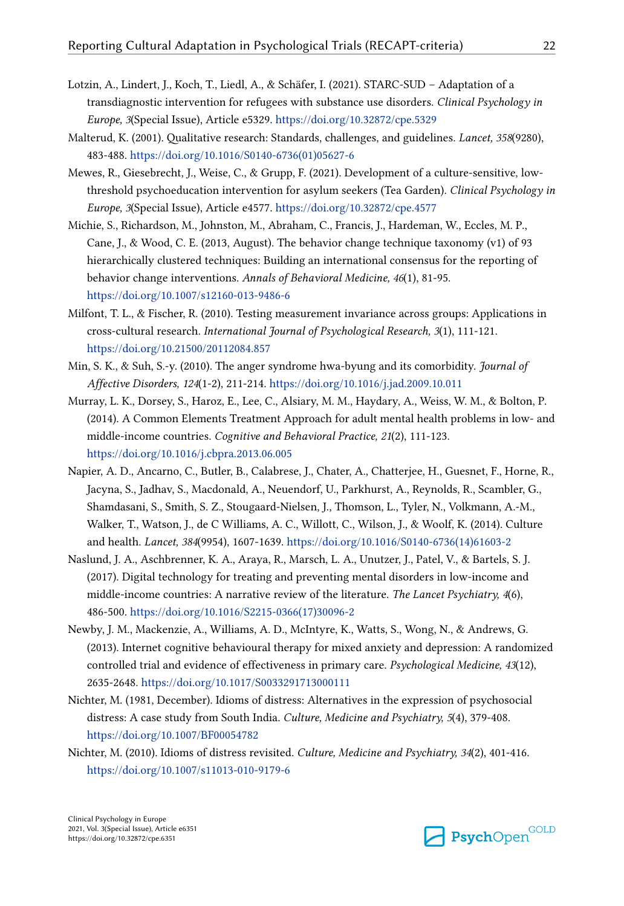- <span id="page-21-0"></span>Lotzin, A., Lindert, J., Koch, T., Liedl, A., & Schäfer, I. (2021). STARC-SUD – Adaptation of a transdiagnostic intervention for refugees with substance use disorders. *Clinical Psychology in Europe, 3*(Special Issue), Article e5329. <https://doi.org/10.32872/cpe.5329>
- Malterud, K. (2001). Qualitative research: Standards, challenges, and guidelines. *Lancet, 358*(9280), 483-488. [https://doi.org/10.1016/S0140-6736\(01\)05627-6](https://doi.org/10.1016/S0140-6736(01)05627-6)
- Mewes, R., Giesebrecht, J., Weise, C., & Grupp, F. (2021). Development of a culture-sensitive, lowthreshold psychoeducation intervention for asylum seekers (Tea Garden). *Clinical Psychology in Europe, 3*(Special Issue), Article e4577. <https://doi.org/10.32872/cpe.4577>
- Michie, S., Richardson, M., Johnston, M., Abraham, C., Francis, J., Hardeman, W., Eccles, M. P., Cane, J., & Wood, C. E. (2013, August). The behavior change technique taxonomy (v1) of 93 hierarchically clustered techniques: Building an international consensus for the reporting of behavior change interventions. *Annals of Behavioral Medicine, 46*(1), 81-95. <https://doi.org/10.1007/s12160-013-9486-6>
- Milfont, T. L., & Fischer, R. (2010). Testing measurement invariance across groups: Applications in cross-cultural research. *International Journal of Psychological Research, 3*(1), 111-121. <https://doi.org/10.21500/20112084.857>
- Min, S. K., & Suh, S.-y. (2010). The anger syndrome hwa-byung and its comorbidity. *Journal of Affective Disorders, 124*(1-2), 211-214.<https://doi.org/10.1016/j.jad.2009.10.011>
- Murray, L. K., Dorsey, S., Haroz, E., Lee, C., Alsiary, M. M., Haydary, A., Weiss, W. M., & Bolton, P. (2014). A Common Elements Treatment Approach for adult mental health problems in low- and middle-income countries. *Cognitive and Behavioral Practice, 21*(2), 111-123. <https://doi.org/10.1016/j.cbpra.2013.06.005>
- Napier, A. D., Ancarno, C., Butler, B., Calabrese, J., Chater, A., Chatterjee, H., Guesnet, F., Horne, R., Jacyna, S., Jadhav, S., Macdonald, A., Neuendorf, U., Parkhurst, A., Reynolds, R., Scambler, G., Shamdasani, S., Smith, S. Z., Stougaard-Nielsen, J., Thomson, L., Tyler, N., Volkmann, A.-M., Walker, T., Watson, J., de C Williams, A. C., Willott, C., Wilson, J., & Woolf, K. (2014). Culture and health. *Lancet, 384*(9954), 1607-1639. [https://doi.org/10.1016/S0140-6736\(14\)61603-2](https://doi.org/10.1016/S0140-6736(14)61603-2)
- Naslund, J. A., Aschbrenner, K. A., Araya, R., Marsch, L. A., Unutzer, J., Patel, V., & Bartels, S. J. (2017). Digital technology for treating and preventing mental disorders in low-income and middle-income countries: A narrative review of the literature. *The Lancet Psychiatry, 4*(6), 486-500. [https://doi.org/10.1016/S2215-0366\(17\)30096-2](https://doi.org/10.1016/S2215-0366(17)30096-2)
- Newby, J. M., Mackenzie, A., Williams, A. D., McIntyre, K., Watts, S., Wong, N., & Andrews, G. (2013). Internet cognitive behavioural therapy for mixed anxiety and depression: A randomized controlled trial and evidence of effectiveness in primary care. *Psychological Medicine, 43*(12), 2635-2648. <https://doi.org/10.1017/S0033291713000111>
- Nichter, M. (1981, December). Idioms of distress: Alternatives in the expression of psychosocial distress: A case study from South India. *Culture, Medicine and Psychiatry, 5*(4), 379-408. <https://doi.org/10.1007/BF00054782>
- Nichter, M. (2010). Idioms of distress revisited. *Culture, Medicine and Psychiatry, 34*(2), 401-416. <https://doi.org/10.1007/s11013-010-9179-6>

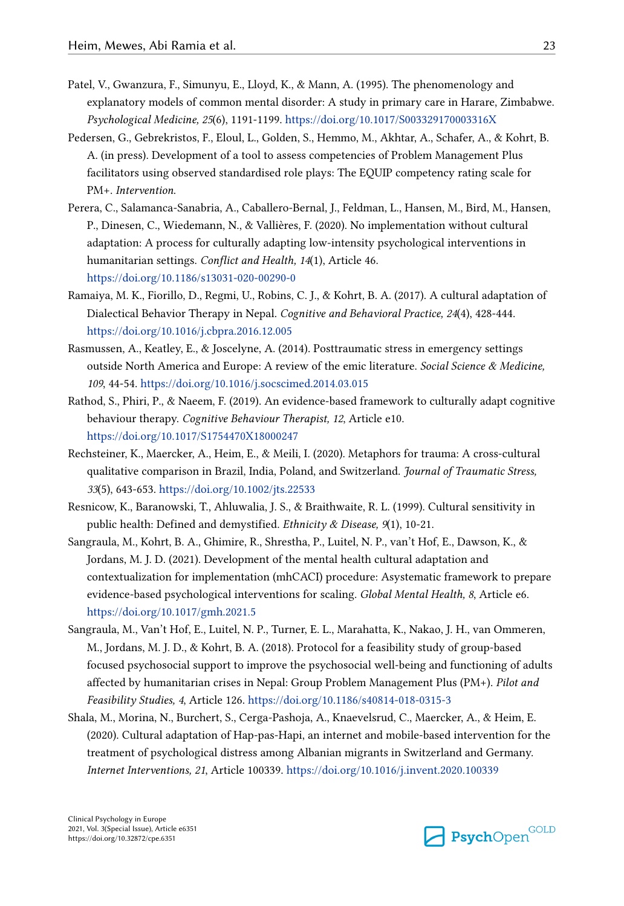- <span id="page-22-0"></span>Patel, V., Gwanzura, F., Simunyu, E., Lloyd, K., & Mann, A. (1995). The phenomenology and explanatory models of common mental disorder: A study in primary care in Harare, Zimbabwe. *Psychological Medicine, 25*(6), 1191-1199. <https://doi.org/10.1017/S003329170003316X>
- Pedersen, G., Gebrekristos, F., Eloul, L., Golden, S., Hemmo, M., Akhtar, A., Schafer, A., & Kohrt, B. A. (in press). Development of a tool to assess competencies of Problem Management Plus facilitators using observed standardised role plays: The EQUIP competency rating scale for PM+. *Intervention*.
- Perera, C., Salamanca-Sanabria, A., Caballero-Bernal, J., Feldman, L., Hansen, M., Bird, M., Hansen, P., Dinesen, C., Wiedemann, N., & Vallières, F. (2020). No implementation without cultural adaptation: A process for culturally adapting low-intensity psychological interventions in humanitarian settings. *Conflict and Health, 14*(1), Article 46. <https://doi.org/10.1186/s13031-020-00290-0>
- Ramaiya, M. K., Fiorillo, D., Regmi, U., Robins, C. J., & Kohrt, B. A. (2017). A cultural adaptation of Dialectical Behavior Therapy in Nepal. *Cognitive and Behavioral Practice, 24*(4), 428-444. <https://doi.org/10.1016/j.cbpra.2016.12.005>
- Rasmussen, A., Keatley, E., & Joscelyne, A. (2014). Posttraumatic stress in emergency settings outside North America and Europe: A review of the emic literature. *Social Science & Medicine, 109*, 44-54.<https://doi.org/10.1016/j.socscimed.2014.03.015>
- Rathod, S., Phiri, P., & Naeem, F. (2019). An evidence-based framework to culturally adapt cognitive behaviour therapy. *Cognitive Behaviour Therapist, 12*, Article e10. <https://doi.org/10.1017/S1754470X18000247>
- Rechsteiner, K., Maercker, A., Heim, E., & Meili, I. (2020). Metaphors for trauma: A cross-cultural qualitative comparison in Brazil, India, Poland, and Switzerland. *Journal of Traumatic Stress, 33*(5), 643-653.<https://doi.org/10.1002/jts.22533>
- Resnicow, K., Baranowski, T., Ahluwalia, J. S., & Braithwaite, R. L. (1999). Cultural sensitivity in public health: Defined and demystified. *Ethnicity & Disease, 9*(1), 10-21.
- Sangraula, M., Kohrt, B. A., Ghimire, R., Shrestha, P., Luitel, N. P., van't Hof, E., Dawson, K., & Jordans, M. J. D. (2021). Development of the mental health cultural adaptation and contextualization for implementation (mhCACI) procedure: Asystematic framework to prepare evidence-based psychological interventions for scaling. *Global Mental Health, 8*, Article e6. <https://doi.org/10.1017/gmh.2021.5>
- Sangraula, M., Van't Hof, E., Luitel, N. P., Turner, E. L., Marahatta, K., Nakao, J. H., van Ommeren, M., Jordans, M. J. D., & Kohrt, B. A. (2018). Protocol for a feasibility study of group-based focused psychosocial support to improve the psychosocial well-being and functioning of adults affected by humanitarian crises in Nepal: Group Problem Management Plus (PM+). *Pilot and Feasibility Studies, 4*, Article 126. <https://doi.org/10.1186/s40814-018-0315-3>
- Shala, M., Morina, N., Burchert, S., Cerga-Pashoja, A., Knaevelsrud, C., Maercker, A., & Heim, E. (2020). Cultural adaptation of Hap-pas-Hapi, an internet and mobile-based intervention for the treatment of psychological distress among Albanian migrants in Switzerland and Germany. *Internet Interventions, 21*, Article 100339. <https://doi.org/10.1016/j.invent.2020.100339>

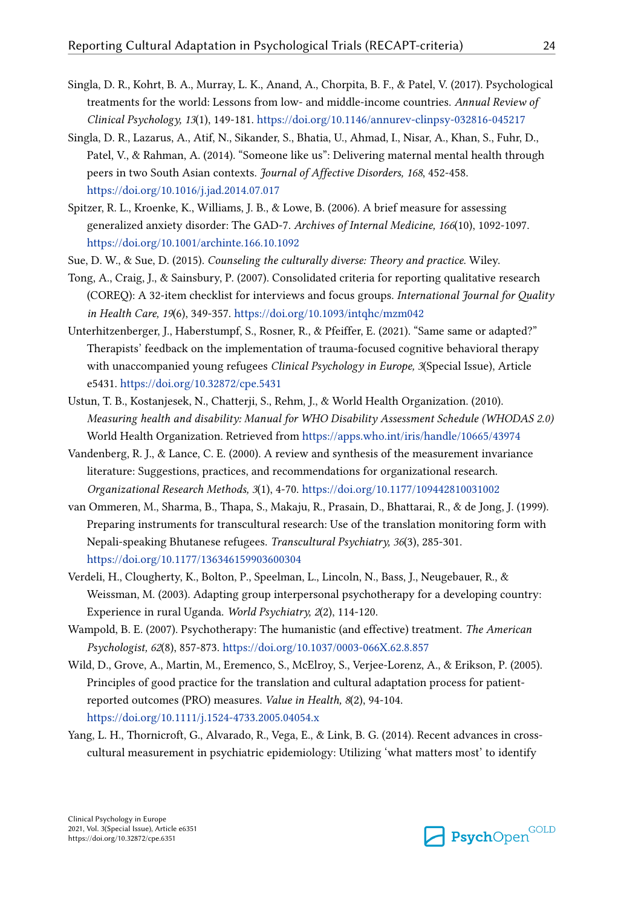- <span id="page-23-0"></span>Singla, D. R., Kohrt, B. A., Murray, L. K., Anand, A., Chorpita, B. F., & Patel, V. (2017). Psychological treatments for the world: Lessons from low- and middle-income countries. *Annual Review of Clinical Psychology, 13*(1), 149-181. <https://doi.org/10.1146/annurev-clinpsy-032816-045217>
- Singla, D. R., Lazarus, A., Atif, N., Sikander, S., Bhatia, U., Ahmad, I., Nisar, A., Khan, S., Fuhr, D., Patel, V., & Rahman, A. (2014). "Someone like us": Delivering maternal mental health through peers in two South Asian contexts. *Journal of Affective Disorders, 168*, 452-458. <https://doi.org/10.1016/j.jad.2014.07.017>
- Spitzer, R. L., Kroenke, K., Williams, J. B., & Lowe, B. (2006). A brief measure for assessing generalized anxiety disorder: The GAD-7. *Archives of Internal Medicine, 166*(10), 1092-1097. <https://doi.org/10.1001/archinte.166.10.1092>
- Sue, D. W., & Sue, D. (2015). *Counseling the culturally diverse: Theory and practice*. Wiley.
- Tong, A., Craig, J., & Sainsbury, P. (2007). Consolidated criteria for reporting qualitative research (COREQ): A 32-item checklist for interviews and focus groups. *International Journal for Quality in Health Care, 19*(6), 349-357. <https://doi.org/10.1093/intqhc/mzm042>
- Unterhitzenberger, J., Haberstumpf, S., Rosner, R., & Pfeiffer, E. (2021). "Same same or adapted?" Therapists' feedback on the implementation of trauma-focused cognitive behavioral therapy with unaccompanied young refugees *Clinical Psychology in Europe, 3*(Special Issue), Article e5431.<https://doi.org/10.32872/cpe.5431>
- Ustun, T. B., Kostanjesek, N., Chatterji, S., Rehm, J., & World Health Organization. (2010). *Measuring health and disability: Manual for WHO Disability Assessment Schedule (WHODAS 2.0)*  World Health Organization. Retrieved from <https://apps.who.int/iris/handle/10665/43974>
- Vandenberg, R. J., & Lance, C. E. (2000). A review and synthesis of the measurement invariance literature: Suggestions, practices, and recommendations for organizational research. *Organizational Research Methods, 3*(1), 4-70. <https://doi.org/10.1177/109442810031002>
- van Ommeren, M., Sharma, B., Thapa, S., Makaju, R., Prasain, D., Bhattarai, R., & de Jong, J. (1999). Preparing instruments for transcultural research: Use of the translation monitoring form with Nepali-speaking Bhutanese refugees. *Transcultural Psychiatry, 36*(3), 285-301. <https://doi.org/10.1177/136346159903600304>
- Verdeli, H., Clougherty, K., Bolton, P., Speelman, L., Lincoln, N., Bass, J., Neugebauer, R., & Weissman, M. (2003). Adapting group interpersonal psychotherapy for a developing country: Experience in rural Uganda. *World Psychiatry, 2*(2), 114-120.
- Wampold, B. E. (2007). Psychotherapy: The humanistic (and effective) treatment. *The American Psychologist, 62*(8), 857-873.<https://doi.org/10.1037/0003-066X.62.8.857>
- Wild, D., Grove, A., Martin, M., Eremenco, S., McElroy, S., Verjee-Lorenz, A., & Erikson, P. (2005). Principles of good practice for the translation and cultural adaptation process for patientreported outcomes (PRO) measures. *Value in Health, 8*(2), 94-104. <https://doi.org/10.1111/j.1524-4733.2005.04054.x>
- Yang, L. H., Thornicroft, G., Alvarado, R., Vega, E., & Link, B. G. (2014). Recent advances in crosscultural measurement in psychiatric epidemiology: Utilizing 'what matters most' to identify